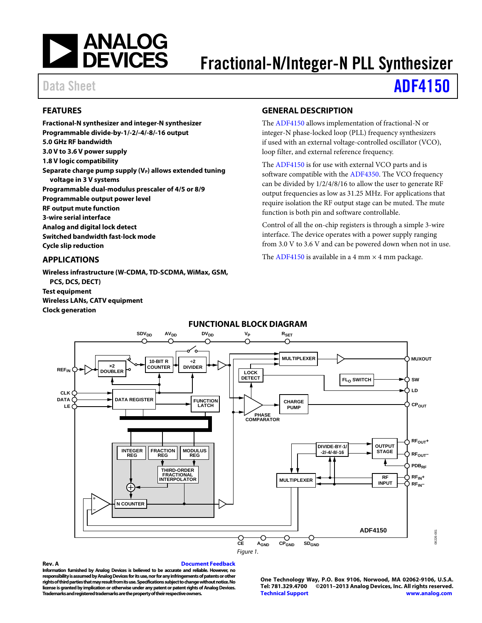

# Fractional-N/Integer-N PLL Synthesizer

# Data Sheet **[ADF4150](http://www.analog.com/ADF4150)**

### <span id="page-0-0"></span>**FEATURES**

**Fractional-N synthesizer and integer-N synthesizer Programmable divide-by-1/-2/-4/-8/-16 output 5.0 GHz RF bandwidth 3.0 V to 3.6 V power supply 1.8 V logic compatibility** Separate charge pump supply (V<sub>P</sub>) allows extended tuning **voltage in 3 V systems Programmable dual-modulus prescaler of 4/5 or 8/9 Programmable output power level RF output mute function 3-wire serial interface Analog and digital lock detect Switched bandwidth fast-lock mode Cycle slip reduction**

## <span id="page-0-1"></span>**APPLICATIONS**

**Wireless infrastructure (W-CDMA, TD-SCDMA, WiMax, GSM, PCS, DCS, DECT) Test equipment Wireless LANs, CATV equipment Clock generation**

#### <span id="page-0-2"></span>**GENERAL DESCRIPTION**

The [ADF4150](http://www.analog.com/ADF4150?doc=ADF4150.pdf) allows implementation of fractional-N or integer-N phase-locked loop (PLL) frequency synthesizers if used with an external voltage-controlled oscillator (VCO), loop filter, and external reference frequency.

The [ADF4150](http://www.analog.com/ADF4150?doc=ADF4150.pdf) is for use with external VCO parts and is software compatible with the [ADF4350.](http://www.analog.com/ADF4350?doc=ADF4150.pdf) The VCO frequency can be divided by 1/2/4/8/16 to allow the user to generate RF output frequencies as low as 31.25 MHz. For applications that require isolation the RF output stage can be muted. The mute function is both pin and software controllable.

Control of all the on-chip registers is through a simple 3-wire interface. The device operates with a power supply ranging from 3.0 V to 3.6 V and can be powered down when not in use.

The [ADF4150](http://www.analog.com/ADF4150?doc=ADF4150.pdf) is available in a 4 mm  $\times$  4 mm package.

<span id="page-0-3"></span>

#### **FUNCTIONAL BLOCK DIAGRAM**

#### **Rev. A [Document Feedback](https://form.analog.com/Form_Pages/feedback/documentfeedback.aspx?doc=ADF4150.pdf&product=ADF4150&rev=A)**

**Information furnished by Analog Devices is believed to be accurate and reliable. However, no responsibility is assumed by Analog Devices for its use, nor for any infringements of patents or other rights of third parties that may result from its use. Specifications subject to change without notice. No license is granted by implication or otherwise under any patent or patent rights of Analog Devices. Trademarks and registered trademarks are the property of their respective owners.**

**One Technology Way, P.O. Box 9106, Norwood, MA 02062-9106, U.S.A. Tel: 781.329.4700 ©2011–2013 Analog Devices, Inc. All rights reserved. [Technical Support](http://www.analog.com/en/content/technical_support_page/fca.html) [www.analog.com](http://www.analog.com/)**

08226-001

R226-001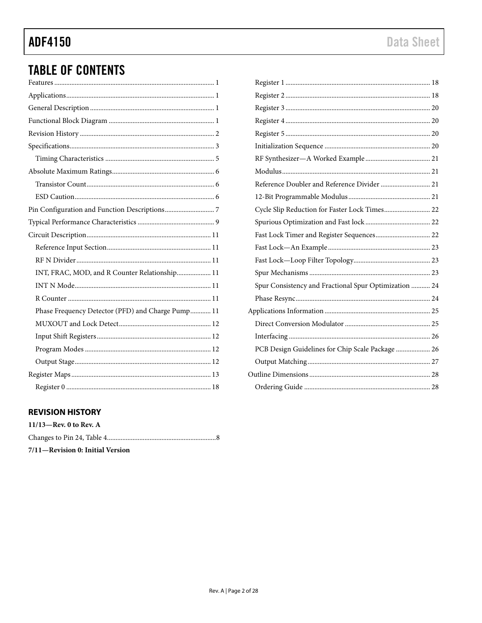# **ADF4150**

# **TABLE OF CONTENTS**

| INT, FRAC, MOD, and R Counter Relationship 11     |
|---------------------------------------------------|
|                                                   |
|                                                   |
| Phase Frequency Detector (PFD) and Charge Pump 11 |
|                                                   |
|                                                   |
|                                                   |
|                                                   |
|                                                   |
|                                                   |

| Reference Doubler and Reference Divider  21           |  |
|-------------------------------------------------------|--|
|                                                       |  |
| Cycle Slip Reduction for Faster Lock Times 22         |  |
|                                                       |  |
|                                                       |  |
|                                                       |  |
|                                                       |  |
|                                                       |  |
| Spur Consistency and Fractional Spur Optimization  24 |  |
|                                                       |  |
|                                                       |  |
|                                                       |  |
|                                                       |  |
| PCB Design Guidelines for Chip Scale Package  26      |  |
|                                                       |  |
|                                                       |  |
|                                                       |  |

### <span id="page-1-0"></span>**REVISION HISTORY**

| $11/13$ —Rev. 0 to Rev. A        |
|----------------------------------|
|                                  |
| 7/11—Revision 0: Initial Version |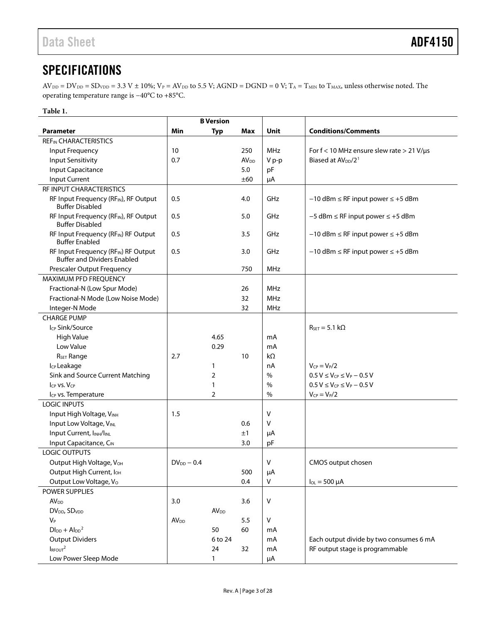# <span id="page-2-0"></span>**SPECIFICATIONS**

 $AV_{DD} = DV_{DD} = SD_{VDD} = 3.3 V \pm 10\%$ ;  $V_P = AV_{DD}$  to 5.5 V;  $AGND = DGND = 0$  V;  $T_A = T_{MIN}$  to  $T_{MAX}$ , unless otherwise noted. The operating temperature range is −40°C to +85°C.

#### **Table 1.**

|                                                                             |                        | <b>B</b> Version        |                        |               |                                                     |  |  |  |  |  |  |
|-----------------------------------------------------------------------------|------------------------|-------------------------|------------------------|---------------|-----------------------------------------------------|--|--|--|--|--|--|
| <b>Parameter</b>                                                            | Min                    | <b>Typ</b>              | Max                    | Unit          | <b>Conditions/Comments</b>                          |  |  |  |  |  |  |
| <b>REF<sub>IN</sub> CHARACTERISTICS</b>                                     |                        |                         |                        |               |                                                     |  |  |  |  |  |  |
| Input Frequency                                                             | 10                     |                         | 250                    | <b>MHz</b>    | For $f < 10$ MHz ensure slew rate $> 21$ V/ $\mu s$ |  |  |  |  |  |  |
| <b>Input Sensitivity</b>                                                    | 0.7                    |                         | <b>AV<sub>DD</sub></b> | V p-p         | Biased at AV <sub>pp</sub> /2 <sup>1</sup>          |  |  |  |  |  |  |
| Input Capacitance                                                           |                        |                         | 5.0                    | pF            |                                                     |  |  |  |  |  |  |
| Input Current                                                               |                        |                         | ±60                    | μA            |                                                     |  |  |  |  |  |  |
| RF INPUT CHARACTERISTICS                                                    |                        |                         |                        |               |                                                     |  |  |  |  |  |  |
| RF Input Frequency (RF <sub>IN</sub> ), RF Output<br><b>Buffer Disabled</b> | 0.5                    |                         | 4.0                    | GHz           | $-10$ dBm $\leq$ RF input power $\leq$ +5 dBm       |  |  |  |  |  |  |
| RF Input Frequency (RFIN), RF Output<br><b>Buffer Disabled</b>              | 0.5                    |                         | 5.0                    | GHz           | $-5$ dBm $\leq$ RF input power $\leq$ +5 dBm        |  |  |  |  |  |  |
| RF Input Frequency (RFIN) RF Output<br><b>Buffer Enabled</b>                | 0.5                    |                         | 3.5                    | GHz           | $-10$ dBm $\leq$ RF input power $\leq$ +5 dBm       |  |  |  |  |  |  |
| RF Input Frequency (RFIN) RF Output<br><b>Buffer and Dividers Enabled</b>   | 0.5                    |                         | 3.0                    | GHz           | $-10$ dBm $\leq$ RF input power $\leq$ +5 dBm       |  |  |  |  |  |  |
| Prescaler Output Frequency                                                  |                        |                         | 750                    | <b>MHz</b>    |                                                     |  |  |  |  |  |  |
| MAXIMUM PFD FREQUENCY                                                       |                        |                         |                        |               |                                                     |  |  |  |  |  |  |
| Fractional-N (Low Spur Mode)                                                |                        |                         | 26                     | MHz           |                                                     |  |  |  |  |  |  |
| Fractional-N Mode (Low Noise Mode)                                          |                        |                         | 32                     | <b>MHz</b>    |                                                     |  |  |  |  |  |  |
| Integer-N Mode                                                              |                        |                         | 32                     | <b>MHz</b>    |                                                     |  |  |  |  |  |  |
| <b>CHARGE PUMP</b>                                                          |                        |                         |                        |               |                                                     |  |  |  |  |  |  |
| Icp Sink/Source                                                             |                        |                         |                        |               | $R_{\text{SFT}} = 5.1 \text{ k}\Omega$              |  |  |  |  |  |  |
| <b>High Value</b>                                                           |                        | 4.65                    |                        | mA            |                                                     |  |  |  |  |  |  |
| Low Value                                                                   |                        | 0.29                    |                        | mA            |                                                     |  |  |  |  |  |  |
| R <sub>SET</sub> Range                                                      | 2.7                    |                         | 10                     | $k\Omega$     |                                                     |  |  |  |  |  |  |
| I <sub>CP</sub> Leakage                                                     |                        | $\mathbf{1}$            |                        | nA            | $V_{CP} = V_P/2$                                    |  |  |  |  |  |  |
| Sink and Source Current Matching                                            |                        | $\overline{2}$          |                        | $\frac{0}{0}$ | $0.5 V \leq V_{CP} \leq V_P - 0.5 V$                |  |  |  |  |  |  |
| $I_{CP}$ vs. $V_{CP}$                                                       |                        | 1                       |                        | $\%$          | $0.5 V \leq V_{CP} \leq V_P - 0.5 V$                |  |  |  |  |  |  |
| Icp vs. Temperature                                                         |                        | $\overline{2}$          |                        | $\frac{0}{0}$ | $V_{CP} = V_P/2$                                    |  |  |  |  |  |  |
| <b>LOGIC INPUTS</b>                                                         |                        |                         |                        |               |                                                     |  |  |  |  |  |  |
| Input High Voltage, VINH                                                    | 1.5                    |                         |                        | v             |                                                     |  |  |  |  |  |  |
| Input Low Voltage, VINL                                                     |                        |                         | 0.6                    | $\vee$        |                                                     |  |  |  |  |  |  |
| Input Current, INH/INL                                                      |                        |                         | ±1                     | μA            |                                                     |  |  |  |  |  |  |
| Input Capacitance, CIN                                                      |                        |                         | 3.0                    | pF            |                                                     |  |  |  |  |  |  |
| LOGIC OUTPUTS                                                               |                        |                         |                        |               |                                                     |  |  |  |  |  |  |
| Output High Voltage, VOH                                                    | $DV_{DD} - 0.4$        |                         |                        | V             | CMOS output chosen                                  |  |  |  |  |  |  |
| Output High Current, loH                                                    |                        |                         | 500                    | μA            |                                                     |  |  |  |  |  |  |
| Output Low Voltage, Vo                                                      |                        |                         | 0.4                    | v             | $I_{OL} = 500 \mu A$                                |  |  |  |  |  |  |
| POWER SUPPLIES                                                              |                        |                         |                        |               |                                                     |  |  |  |  |  |  |
| <b>AV</b> <sub>DD</sub>                                                     | 3.0                    |                         | 3.6                    | V             |                                                     |  |  |  |  |  |  |
| DV <sub>DD</sub> , SD <sub>VDD</sub>                                        |                        | <b>AV</b> <sub>DD</sub> |                        |               |                                                     |  |  |  |  |  |  |
| $V_P$                                                                       | <b>AV<sub>DD</sub></b> |                         | 5.5                    | V             |                                                     |  |  |  |  |  |  |
| $D\mathsf{I}_{\text{DD}} + \mathsf{Al}_{\text{DD}}^2$                       |                        | 50                      | 60                     | mA            |                                                     |  |  |  |  |  |  |
| <b>Output Dividers</b>                                                      |                        | 6 to 24                 |                        | mA            | Each output divide by two consumes 6 mA             |  |  |  |  |  |  |
| I <sub>RFOUT</sub> <sup>2</sup>                                             |                        | 24                      | 32                     | mA            | RF output stage is programmable                     |  |  |  |  |  |  |
| Low Power Sleep Mode                                                        |                        | 1                       |                        | μA            |                                                     |  |  |  |  |  |  |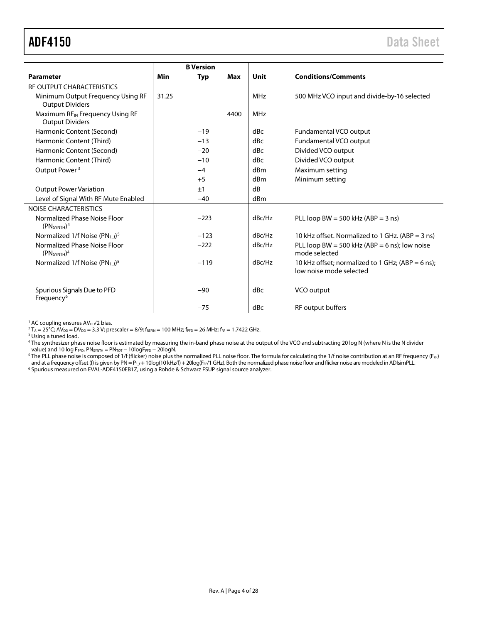<span id="page-3-0"></span>

|                                                                     |       | <b>B</b> Version |      |                 |                                                                              |
|---------------------------------------------------------------------|-------|------------------|------|-----------------|------------------------------------------------------------------------------|
| <b>Parameter</b>                                                    | Min   | <b>Typ</b>       | Max  | Unit            | <b>Conditions/Comments</b>                                                   |
| RF OUTPUT CHARACTERISTICS                                           |       |                  |      |                 |                                                                              |
| Minimum Output Frequency Using RF<br><b>Output Dividers</b>         | 31.25 |                  |      | <b>MHz</b>      | 500 MHz VCO input and divide-by-16 selected                                  |
| Maximum RFIN Frequency Using RF<br><b>Output Dividers</b>           |       |                  | 4400 | MHz             |                                                                              |
| Harmonic Content (Second)                                           |       | $-19$            |      | dBc             | Fundamental VCO output                                                       |
| Harmonic Content (Third)                                            |       | $-13$            |      | dBc             | Fundamental VCO output                                                       |
| Harmonic Content (Second)                                           |       | $-20$            |      | dBc             | Divided VCO output                                                           |
| Harmonic Content (Third)                                            |       | $-10$            |      | dBc             | Divided VCO output                                                           |
| Output Power <sup>3</sup>                                           |       | $-4$             |      | dBm             | Maximum setting                                                              |
|                                                                     |       | $+5$             |      | dBm             | Minimum setting                                                              |
| <b>Output Power Variation</b>                                       |       | ±1               |      | dB              |                                                                              |
| Level of Signal With RF Mute Enabled                                |       | $-40$            |      | d <sub>Bm</sub> |                                                                              |
| NOISE CHARACTERISTICS                                               |       |                  |      |                 |                                                                              |
| Normalized Phase Noise Floor<br>(PN <sub>SYNTH</sub> ) <sup>4</sup> |       | $-223$           |      | dBc/Hz          | PLL loop BW = 500 kHz (ABP = 3 ns)                                           |
| Normalized 1/f Noise (PN <sub>1f</sub> ) <sup>5</sup>               |       | $-123$           |      | dBc/Hz          | 10 kHz offset. Normalized to 1 GHz. (ABP = 3 ns)                             |
| Normalized Phase Noise Floor<br>(PN <sub>SYNTH</sub> ) <sup>4</sup> |       | $-222$           |      | dBc/Hz          | PLL loop BW = 500 kHz (ABP = 6 ns); low noise<br>mode selected               |
| Normalized 1/f Noise (PN <sub>1f</sub> ) <sup>5</sup>               |       | $-119$           |      | dBc/Hz          | 10 kHz offset; normalized to 1 GHz; (ABP = 6 ns);<br>low noise mode selected |
| Spurious Signals Due to PFD<br>Frequency <sup>6</sup>               |       | $-90$            |      | dBc             | VCO output                                                                   |
|                                                                     |       | $-75$            |      | dBc             | RF output buffers                                                            |

<span id="page-3-2"></span><span id="page-3-1"></span> $1$  AC coupling ensures AV<sub>DD</sub>/2 bias.

 $2 T_A = 25^{\circ}C$ ;  $\text{AV}_{DD} = \text{DV}_{DD} = 3.3 \text{ V}$ ; prescaler = 8/9; fREFIN = 100 MHz; fPFD = 26 MHz; fRF = 1.7422 GHz.

<sup>3</sup> Using a tuned load.

<sup>4</sup> The synthesizer phase noise floor is estimated by measuring the in-band phase noise at the output of the VCO and subtracting 20 log N (where N is the N divider value) and 10 log FPFD. PN<sub>SYNTH</sub> = PN<sub>TOT</sub> − 10logF<sub>PFD</sub> − 20logN.

 $^5$  The PLL phase noise is composed of 1/f (flicker) noise plus the normalized PLL noise floor. The formula for calculating the 1/f noise contribution at an RF frequency (F $_{\rm RF}$ ) and at a frequency offset (f) is given by PN = P<sub>1.1</sub>+10log(10 kHz/f) + 20log(F<sub>ff</sub>/1 GHz). Both the normalized phase noise floor and flicker noise are modeled in ADIsimPLL.<br><sup>6</sup> Spurious measured on EVAL-ADF4150EB1Z, using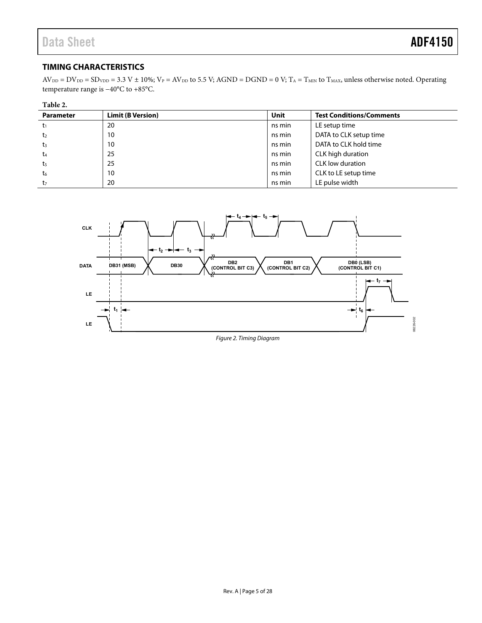#### <span id="page-4-0"></span>**TIMING CHARACTERISTICS**

 $AV_{DD} = DV_{DD} = SD_{VDD} = 3.3 V \pm 10\%$ ;  $V_P = AV_{DD}$  to 5.5 V; AGND = DGND = 0 V; T<sub>A</sub> = T<sub>MIN</sub> to T<sub>MAX</sub>, unless otherwise noted. Operating temperature range is −40°C to +85°C.

| Table 2.         |                          |        |                                 |  |
|------------------|--------------------------|--------|---------------------------------|--|
| <b>Parameter</b> | <b>Limit (B Version)</b> | Unit   | <b>Test Conditions/Comments</b> |  |
| t1               | 20                       | ns min | LE setup time                   |  |
| t <sub>2</sub>   | 10                       | ns min | DATA to CLK setup time          |  |
| $t_3$            | 10                       | ns min | DATA to CLK hold time           |  |
| t <sub>4</sub>   | 25                       | ns min | CLK high duration               |  |
| t <sub>5</sub>   | 25                       | ns min | CLK low duration                |  |
| t <sub>6</sub>   | 10                       | ns min | CLK to LE setup time            |  |
| t <sub>7</sub>   | 20                       | ns min | LE pulse width                  |  |

<span id="page-4-1"></span>

Figure 2. Timing Diagram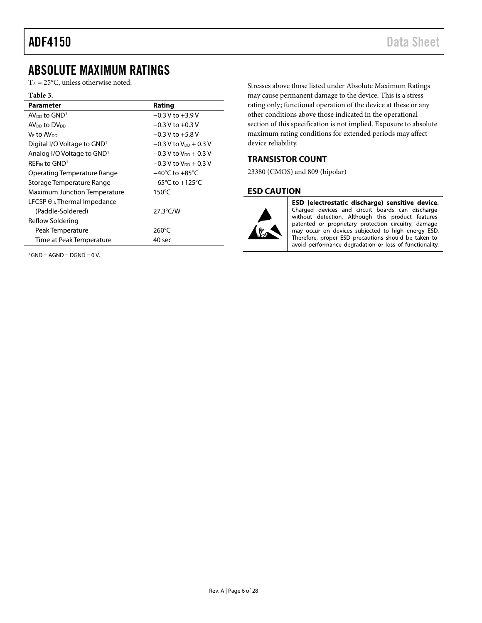## <span id="page-5-0"></span>ABSOLUTE MAXIMUM RATINGS

 $T_A = 25$ °C, unless otherwise noted.

#### **Table 3.**

| <b>Parameter</b>                        | Rating                              |  |  |  |  |  |
|-----------------------------------------|-------------------------------------|--|--|--|--|--|
| $AV_{DD}$ to $GND1$                     | $-0.3$ V to $+3.9$ V                |  |  |  |  |  |
| AV <sub>DD</sub> to DV <sub>DD</sub>    | $-0.3$ V to $+0.3$ V                |  |  |  |  |  |
| V⊵ to AV <sub>DD</sub>                  | $-0.3$ V to $+5.8$ V                |  |  |  |  |  |
| Digital I/O Voltage to GND <sup>1</sup> | $-0.3$ V to V <sub>DD</sub> + 0.3 V |  |  |  |  |  |
| Analog I/O Voltage to GND <sup>1</sup>  | $-0.3$ V to V <sub>DD</sub> + 0.3 V |  |  |  |  |  |
| REF <sub>IN</sub> to GND <sup>1</sup>   | $-0.3$ V to V <sub>DD</sub> + 0.3 V |  |  |  |  |  |
| Operating Temperature Range             | $-40^{\circ}$ C to $+85^{\circ}$ C  |  |  |  |  |  |
| Storage Temperature Range               | $-65^{\circ}$ C to $+125^{\circ}$ C |  |  |  |  |  |
| Maximum Junction Temperature            | $150^{\circ}$ C                     |  |  |  |  |  |
| LFCSP $\theta_{JA}$ Thermal Impedance   |                                     |  |  |  |  |  |
| (Paddle-Soldered)                       | $27.3^{\circ}$ C/W                  |  |  |  |  |  |
| Reflow Soldering                        |                                     |  |  |  |  |  |
| Peak Temperature                        | $260^{\circ}$ C                     |  |  |  |  |  |
| Time at Peak Temperature                | 40 sec                              |  |  |  |  |  |

 $1$ GND = AGND = DGND = 0 V.

Stresses above those listed under Absolute Maximum Ratings may cause permanent damage to the device. This is a stress rating only; functional operation of the device at these or any other conditions above those indicated in the operational section of this specification is not implied. Exposure to absolute maximum rating conditions for extended periods may affect device reliability.

#### <span id="page-5-1"></span>**TRANSISTOR COUNT**

23380 (CMOS) and 809 (bipolar)

#### <span id="page-5-2"></span>**ESD CAUTION**



ESD (electrostatic discharge) sensitive device. Charged devices and circuit boards can discharge without detection. Although this product features patented or proprietary protection circuitry, damage may occur on devices subjected to high energy ESD. Therefore, proper ESD precautions should be taken to avoid performance degradation or loss of functionality.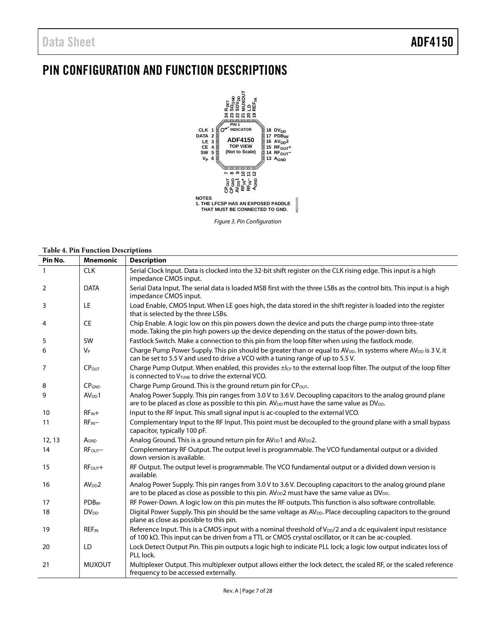# <span id="page-6-0"></span>PIN CONFIGURATION AND FUNCTION DESCRIPTIONS



*Figure 3. Pin Configuration*

#### **Table 4. Pin Function Descriptions**

| Pin No. | <b>Mnemonic</b><br><b>Description</b> |                                                                                                                                                                                                                                 |  |  |  |  |  |  |  |  |  |
|---------|---------------------------------------|---------------------------------------------------------------------------------------------------------------------------------------------------------------------------------------------------------------------------------|--|--|--|--|--|--|--|--|--|
|         | <b>CLK</b>                            | Serial Clock Input. Data is clocked into the 32-bit shift register on the CLK rising edge. This input is a high<br>impedance CMOS input.                                                                                        |  |  |  |  |  |  |  |  |  |
| 2       | <b>DATA</b>                           | Serial Data Input. The serial data is loaded MSB first with the three LSBs as the control bits. This input is a high<br>impedance CMOS input.                                                                                   |  |  |  |  |  |  |  |  |  |
| 3       | LE                                    | Load Enable, CMOS Input. When LE goes high, the data stored in the shift register is loaded into the register<br>that is selected by the three LSBs.                                                                            |  |  |  |  |  |  |  |  |  |
| 4       | <b>CE</b>                             | Chip Enable. A logic low on this pin powers down the device and puts the charge pump into three-state<br>mode. Taking the pin high powers up the device depending on the status of the power-down bits.                         |  |  |  |  |  |  |  |  |  |
| 5       | SW                                    | Fastlock Switch. Make a connection to this pin from the loop filter when using the fastlock mode.                                                                                                                               |  |  |  |  |  |  |  |  |  |
| 6       | V <sub>P</sub>                        | Charge Pump Power Supply. This pin should be greater than or equal to AV <sub>DD</sub> . In systems where AV <sub>DD</sub> is 3V, it<br>can be set to 5.5 V and used to drive a VCO with a tuning range of up to 5.5 V.         |  |  |  |  |  |  |  |  |  |
| 7       | CPOUT                                 | Charge Pump Output. When enabled, this provides ±lc <sub>p</sub> to the external loop filter. The output of the loop filter<br>is connected to V <sub>TUNE</sub> to drive the external VCO.                                     |  |  |  |  |  |  |  |  |  |
| 8       | CP <sub>GND</sub>                     | Charge Pump Ground. This is the ground return pin for CPout.                                                                                                                                                                    |  |  |  |  |  |  |  |  |  |
| 9       | AV <sub>DD</sub> 1                    | Analog Power Supply. This pin ranges from 3.0 V to 3.6 V. Decoupling capacitors to the analog ground plane<br>are to be placed as close as possible to this pin. $AV_{DD}$ must have the same value as $DV_{DD}$ .              |  |  |  |  |  |  |  |  |  |
| 10      | $RF_{IN}+$                            | Input to the RF Input. This small signal input is ac-coupled to the external VCO.                                                                                                                                               |  |  |  |  |  |  |  |  |  |
| 11      | $RF_{IN}$                             | Complementary Input to the RF Input. This point must be decoupled to the ground plane with a small bypass<br>capacitor, typically 100 pF.                                                                                       |  |  |  |  |  |  |  |  |  |
| 12, 13  | AGND                                  | Analog Ground. This is a ground return pin for AV <sub>DD</sub> 1 and AV <sub>DD</sub> 2.                                                                                                                                       |  |  |  |  |  |  |  |  |  |
| 14      | RF <sub>OUT</sub>                     | Complementary RF Output. The output level is programmable. The VCO fundamental output or a divided<br>down version is available.                                                                                                |  |  |  |  |  |  |  |  |  |
| 15      | $RFOUT +$                             | RF Output. The output level is programmable. The VCO fundamental output or a divided down version is<br>available.                                                                                                              |  |  |  |  |  |  |  |  |  |
| 16      | AV <sub>DD</sub> 2                    | Analog Power Supply. This pin ranges from 3.0 V to 3.6 V. Decoupling capacitors to the analog ground plane<br>are to be placed as close as possible to this pin. $AV_{DD}$ 2 must have the same value as $DV_{DD}$ .            |  |  |  |  |  |  |  |  |  |
| 17      | <b>PDBRF</b>                          | RF Power-Down. A logic low on this pin mutes the RF outputs. This function is also software controllable.                                                                                                                       |  |  |  |  |  |  |  |  |  |
| 18      | $DV_{DD}$                             | Digital Power Supply. This pin should be the same voltage as AV <sub>DD</sub> . Place decoupling capacitors to the ground<br>plane as close as possible to this pin.                                                            |  |  |  |  |  |  |  |  |  |
| 19      | <b>REF<sub>IN</sub></b>               | Reference Input. This is a CMOS input with a nominal threshold of $V_{\text{DD}}/2$ and a dc equivalent input resistance<br>of 100 kΩ. This input can be driven from a TTL or CMOS crystal oscillator, or it can be ac-coupled. |  |  |  |  |  |  |  |  |  |
| 20      | LD                                    | Lock Detect Output Pin. This pin outputs a logic high to indicate PLL lock; a logic low output indicates loss of<br>PLL lock.                                                                                                   |  |  |  |  |  |  |  |  |  |
| 21      | <b>MUXOUT</b>                         | Multiplexer Output. This multiplexer output allows either the lock detect, the scaled RF, or the scaled reference<br>frequency to be accessed externally.                                                                       |  |  |  |  |  |  |  |  |  |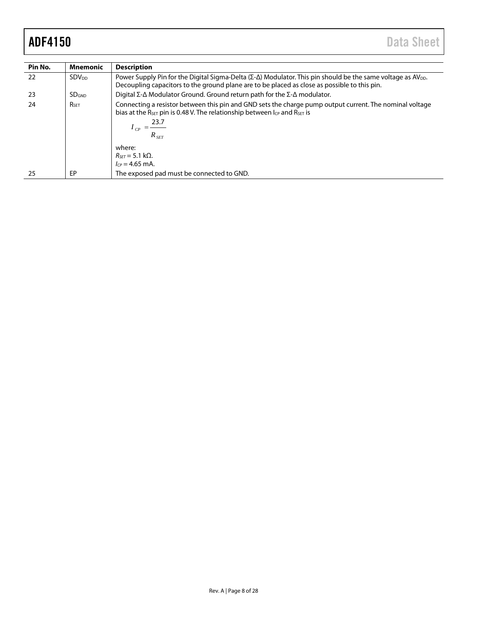| Pin No. | <b>Mnemonic</b>         | <b>Description</b>                                                                                                                                                                                                                                                         |
|---------|-------------------------|----------------------------------------------------------------------------------------------------------------------------------------------------------------------------------------------------------------------------------------------------------------------------|
| 22      | <b>SDV<sub>DD</sub></b> | Power Supply Pin for the Digital Sigma-Delta ( $\Sigma$ - $\Delta$ ) Modulator. This pin should be the same voltage as AV <sub>DD</sub> .<br>Decoupling capacitors to the ground plane are to be placed as close as possible to this pin.                                  |
| 23      | SD <sub>GND</sub>       | Digital $\Sigma$ - $\Delta$ Modulator Ground. Ground return path for the $\Sigma$ - $\Delta$ modulator.                                                                                                                                                                    |
| 24      | <b>RSET</b>             | Connecting a resistor between this pin and GND sets the charge pump output current. The nominal voltage<br>bias at the $R_{\text{SET}}$ pin is 0.48 V. The relationship between $I_{\text{CP}}$ and $R_{\text{SET}}$ is<br>23.7<br>$I_{CP} = \frac{200}{\pi}$<br>$R_{SET}$ |
|         |                         | where:                                                                                                                                                                                                                                                                     |
|         |                         | $R_{\text{SFT}} = 5.1 \text{ k}\Omega$ .                                                                                                                                                                                                                                   |
|         |                         | $I_{CP} = 4.65$ mA.                                                                                                                                                                                                                                                        |
| 25      | EP                      | The exposed pad must be connected to GND.                                                                                                                                                                                                                                  |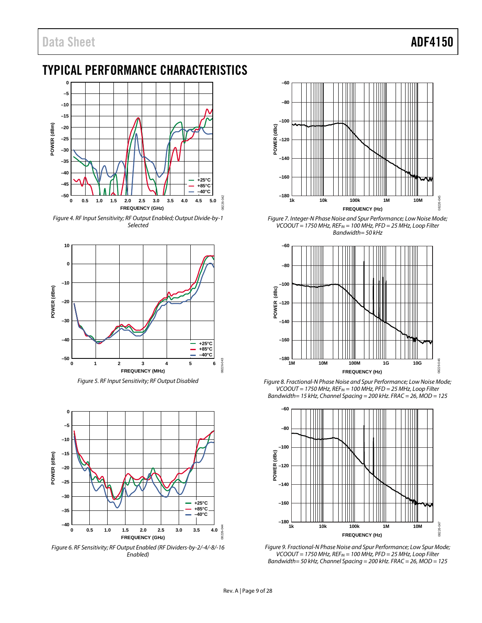# <span id="page-8-0"></span>TYPICAL PERFORMANCE CHARACTERISTICS



*Figure 4. RF Input Sensitivity; RF Output Enabled; Output Divide-by-1 Selected*



*Figure 5. RF Input Sensitivity; RF Output Disabled*



*Figure 6. RF Sensitivity; RF Output Enabled (RF Dividers-by-2/-4/-8/-16 Enabled)*



*Figure 7. Integer-N Phase Noise and Spur Performance; Low Noise Mode; VCOOUT = 1750 MHz, REFIN = 100 MHz, PFD = 25 MHz, Loop Filter Bandwidth= 50 kHz*



*Figure 8. Fractional-N Phase Noise and Spur Performance; Low Noise Mode; VCOOUT = 1750 MHz, REFIN = 100 MHz, PFD = 25 MHz, Loop Filter Bandwidth= 15 kHz, Channel Spacing = 200 kHz. FRAC = 26, MOD = 125*



*Figure 9. Fractional-N Phase Noise and Spur Performance; Low Spur Mode; VCOOUT = 1750 MHz, REFIN = 100 MHz, PFD = 25 MHz, Loop Filter Bandwidth= 50 kHz, Channel Spacing = 200 kHz. FRAC = 26, MOD = 125*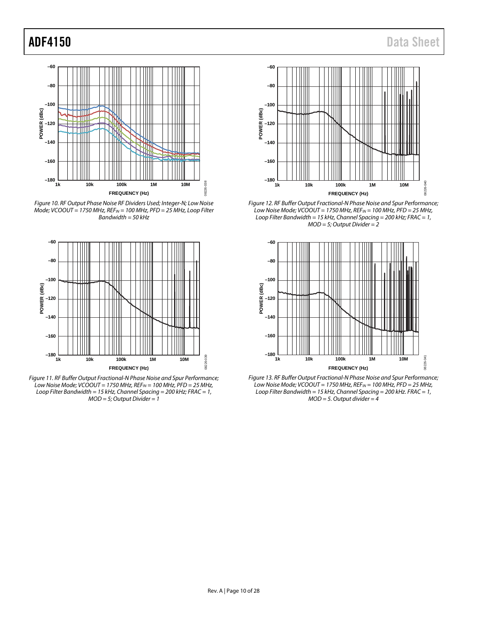

*Figure 10. RF Output Phase Noise RF Dividers Used; Integer-N; Low Noise Mode; VCOOUT = 1750 MHz, REFIN = 100 MHz, PFD = 25 MHz, Loop Filter Bandwidth = 50 kHz*



*Figure 11. RF Buffer Output Fractional-N Phase Noise and Spur Performance; Low Noise Mode; VCOOUT = 1750 MHz, REFIN = 100 MHz, PFD = 25 MHz, Loop Filter Bandwidth = 15 kHz, Channel Spacing = 200 kHz; FRAC = 1, MOD = 5; Output Divider = 1*



*Figure 12. RF Buffer Output Fractional-N Phase Noise and Spur Performance; Low Noise Mode; VCOOUT = 1750 MHz, REFIN = 100 MHz, PFD = 25 MHz, Loop Filter Bandwidth = 15 kHz, Channel Spacing = 200 kHz; FRAC = 1, MOD = 5; Output Divider = 2*



*Figure 13. RF Buffer Output Fractional-N Phase Noise and Spur Performance; Low Noise Mode; VCOOUT = 1750 MHz, REFIN = 100 MHz, PFD = 25 MHz, Loop Filter Bandwidth = 15 kHz, Channel Spacing = 200 kHz. FRAC = 1, MOD = 5. Output divider = 4*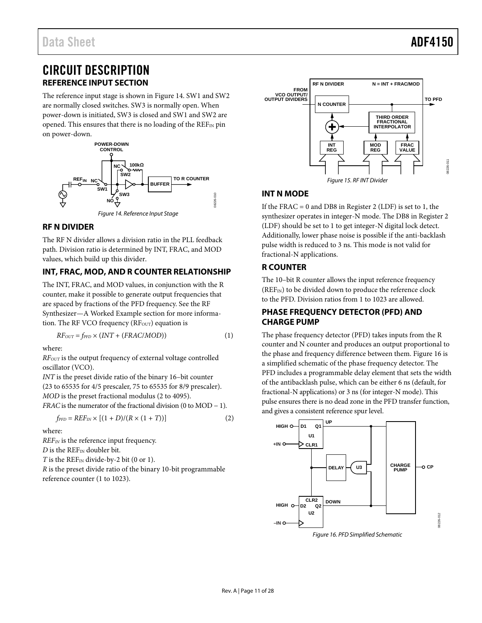## <span id="page-10-0"></span>CIRCUIT DESCRIPTION **REFERENCE INPUT SECTION**

<span id="page-10-1"></span>The reference input stage is shown in [Figure 14.](#page-10-7) SW1 and SW2 are normally closed switches. SW3 is normally open. When power-down is initiated, SW3 is closed and SW1 and SW2 are opened. This ensures that there is no loading of the  $REF_{IN}$  pin on power-down.



#### *Figure 14. Reference Input Stage*

#### <span id="page-10-7"></span><span id="page-10-2"></span>**RF N DIVIDER**

The RF N divider allows a division ratio in the PLL feedback path. Division ratio is determined by INT, FRAC, and MOD values, which build up this divider.

### <span id="page-10-3"></span>**INT, FRAC, MOD, AND R COUNTER RELATIONSHIP**

The INT, FRAC, and MOD values, in conjunction with the R counter, make it possible to generate output frequencies that are spaced by fractions of the PFD frequency. See th[e RF](#page-20-0)  Synthesizer—A [Worked Example](#page-20-0) section for more information. The RF VCO frequency ( $RF_{OUT}$ ) equation is

$$
RF_{OUT} = f_{PFD} \times (INT + (FRAC/MOD))
$$
 (1)

where:

*RFOUT* is the output frequency of external voltage controlled oscillator (VCO).

*INT* is the preset divide ratio of the binary 16–bit counter (23 to 65535 for 4/5 prescaler, 75 to 65535 for 8/9 prescaler). *MOD* is the preset fractional modulus (2 to 4095). *FRAC* is the numerator of the fractional division (0 to MOD − 1).

$$
f_{\rm PFD} = REF_{IN} \times [(1+D)/(R \times (1+T))]
$$
 (2)

where:

*REFIN* is the reference input frequency.

*D* is the REF<sub>IN</sub> doubler bit.

*T* is the  $REF_{IN}$  divide-by-2 bit (0 or 1).

*R* is the preset divide ratio of the binary 10-bit programmable reference counter (1 to 1023).



#### <span id="page-10-4"></span>**INT N MODE**

If the FRAC = 0 and DB8 in Register 2 (LDF) is set to 1, the synthesizer operates in integer-N mode. The DB8 in Register 2 (LDF) should be set to 1 to get integer-N digital lock detect. Additionally, lower phase noise is possible if the anti-backlash pulse width is reduced to 3 ns. This mode is not valid for fractional-N applications.

#### <span id="page-10-5"></span>**R COUNTER**

The 10–bit R counter allows the input reference frequency (REF<sub>IN</sub>) to be divided down to produce the reference clock to the PFD. Division ratios from 1 to 1023 are allowed.

#### <span id="page-10-6"></span>**PHASE FREQUENCY DETECTOR (PFD) AND CHARGE PUMP**

The phase frequency detector (PFD) takes inputs from the R counter and N counter and produces an output proportional to the phase and frequency difference between them. [Figure 16](#page-10-8) is a simplified schematic of the phase frequency detector. The PFD includes a programmable delay element that sets the width of the antibacklash pulse, which can be either 6 ns (default, for fractional-N applications) or 3 ns (for integer-N mode). This pulse ensures there is no dead zone in the PFD transfer function, and gives a consistent reference spur level.



<span id="page-10-8"></span>*Figure 16. PFD Simplified Schematic*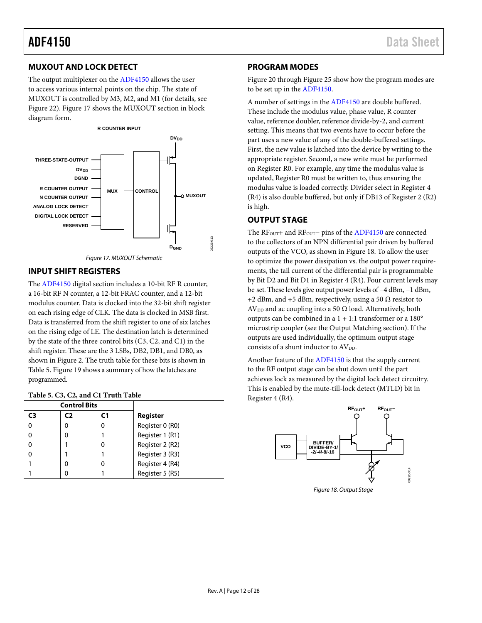#### <span id="page-11-0"></span>**MUXOUT AND LOCK DETECT**

The output multiplexer on th[e ADF4150](http://www.analog.com/ADF4150?doc=ADF4150.pdf) allows the user to access various internal points on the chip. The state of MUXOUT is controlled by M3, M2, and M1 (for details, see [Figure 22\)](#page-14-0)[. Figure 17](#page-11-4) shows the MUXOUT section in block diagram form.



#### <span id="page-11-4"></span><span id="page-11-1"></span>**INPUT SHIFT REGISTERS**

The [ADF4150](http://www.analog.com/ADF4150?doc=ADF4150.pdf) digital section includes a 10-bit RF R counter, a 16-bit RF N counter, a 12-bit FRAC counter, and a 12-bit modulus counter. Data is clocked into the 32-bit shift register on each rising edge of CLK. The data is clocked in MSB first. Data is transferred from the shift register to one of six latches on the rising edge of LE. The destination latch is determined by the state of the three control bits (C3, C2, and C1) in the shift register. These are the 3 LSBs, DB2, DB1, and DB0, as shown in [Figure 2.](#page-4-1) The truth table for these bits is shown in [Table 5.](#page-11-5) [Figure 19](#page-12-1) shows a summary of how the latches are programmed.

<span id="page-11-5"></span>

| Table 5. C3, C2, and C1 Truth Table |  |  |  |  |  |  |  |  |
|-------------------------------------|--|--|--|--|--|--|--|--|
|-------------------------------------|--|--|--|--|--|--|--|--|

|                | <b>Control Bits</b> |   |                 |
|----------------|---------------------|---|-----------------|
| C <sub>3</sub> | C2                  |   | Register        |
|                |                     | 0 | Register 0 (R0) |
|                |                     |   | Register 1 (R1) |
|                |                     | 0 | Register 2 (R2) |
|                |                     |   | Register 3 (R3) |
|                |                     | 0 | Register 4 (R4) |
|                |                     |   | Register 5 (R5) |

#### <span id="page-11-2"></span>**PROGRAM MODES**

[Figure 20](#page-13-0) throug[h Figure 25](#page-16-0) show how the program modes are to be set up in th[e ADF4150.](http://www.analog.com/ADF4150?doc=ADF4150.pdf)

A number of settings in th[e ADF4150](http://www.analog.com/ADF4150?doc=ADF4150.pdf) are double buffered. These include the modulus value, phase value, R counter value, reference doubler, reference divide-by-2, and current setting. This means that two events have to occur before the part uses a new value of any of the double-buffered settings. First, the new value is latched into the device by writing to the appropriate register. Second, a new write must be performed on Register R0. For example, any time the modulus value is updated, Register R0 must be written to, thus ensuring the modulus value is loaded correctly. Divider select in Register 4 (R4) is also double buffered, but only if DB13 of Register 2 (R2) is high.

#### <span id="page-11-3"></span>**OUTPUT STAGE**

The RF<sub>OUT</sub>+ and RF<sub>OUT</sub>− pins of th[e ADF4150](http://www.analog.com/ADF4150?doc=ADF4150.pdf) are connected to the collectors of an NPN differential pair driven by buffered outputs of the VCO, as shown in [Figure 18.](#page-11-6) To allow the user to optimize the power dissipation vs. the output power requirements, the tail current of the differential pair is programmable by Bit D2 and Bit D1 in Register 4 (R4). Four current levels may be set. These levels give output power levels of −4 dBm, −1 dBm, +2 dBm, and +5 dBm, respectively, using a 50  $\Omega$  resistor to  $AV<sub>DD</sub>$  and ac coupling into a 50  $\Omega$  load. Alternatively, both outputs can be combined in a 1 + 1:1 transformer or a 180° microstrip coupler (see the [Output Matching](#page-26-0) section). If the outputs are used individually, the optimum output stage consists of a shunt inductor to AVDD.

Another feature of the [ADF4150](http://www.analog.com/ADF4150?doc=ADF4150.pdf) is that the supply current to the RF output stage can be shut down until the part achieves lock as measured by the digital lock detect circuitry. This is enabled by the mute-till-lock detect (MTLD) bit in Register 4 (R4).

<span id="page-11-6"></span>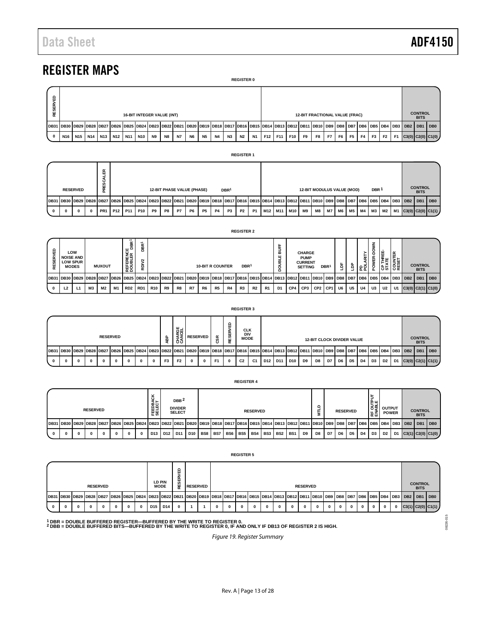# <span id="page-12-0"></span>REGISTER MAPS

|             | <b>REGISTER 0</b>                                                                                                                                                                                                   |                 |  |           |  |         |            |           |           |           |    |           |           |                               |                |           |     |     |       |                |                |      |                |                |                |                |                |           |  |                         |                 |
|-------------|---------------------------------------------------------------------------------------------------------------------------------------------------------------------------------------------------------------------|-----------------|--|-----------|--|---------|------------|-----------|-----------|-----------|----|-----------|-----------|-------------------------------|----------------|-----------|-----|-----|-------|----------------|----------------|------|----------------|----------------|----------------|----------------|----------------|-----------|--|-------------------------|-----------------|
|             | a<br>RESERV<br><b>12-BIT FRACTIONAL VALUE (FRAC)</b><br><b>16-BIT INTEGER VALUE (INT)</b>                                                                                                                           |                 |  |           |  |         |            |           |           |           |    |           |           | <b>CONTROL</b><br><b>BITS</b> |                |           |     |     |       |                |                |      |                |                |                |                |                |           |  |                         |                 |
|             | 10B31 DB30 DB29 DB28 DB27 DB26 DB25 DB24 DB23 DB22 DB22 DB21 DB20 DB19 DB18 DB17 DB16 DB15 DB14 DB13 DB12 DB11 DB10 DB9 DB8 DB7 DB8   DB7 DB6   DB3 DB4   DB3   DB2   DB2   DB2   DB8   DB5   DB4   DB3   DB2   DB1 |                 |  |           |  |         |            |           |           |           |    |           |           |                               |                |           |     |     |       |                |                |      |                |                |                |                |                |           |  |                         | DB <sub>0</sub> |
| $\mathbf 0$ | N <sub>16</sub>                                                                                                                                                                                                     | N <sub>15</sub> |  | N14   N13 |  | N12 N11 | <b>N10</b> | <b>N9</b> | <b>N8</b> | <b>N7</b> | N6 | <b>N5</b> | <b>N4</b> | N3                            | N <sub>2</sub> | <b>N1</b> | F12 | F11 | F10 ' | F <sub>9</sub> | F <sub>8</sub> | F7 I | F <sub>6</sub> | F <sub>5</sub> | F <sub>4</sub> | F <sub>3</sub> | F <sub>2</sub> | <b>F1</b> |  | $C3(0)$ $C2(0)$ $C1(0)$ |                 |

#### **REGISTER 1**

|  |                 | $\propto$<br>▥  |                                                                                                                                                                                       |                 |            |                |                                   |    |    |           |           |                  |           |           |                                 |                 |    |                                   |           |  |                  |  |                               |                                     |
|--|-----------------|-----------------|---------------------------------------------------------------------------------------------------------------------------------------------------------------------------------------|-----------------|------------|----------------|-----------------------------------|----|----|-----------|-----------|------------------|-----------|-----------|---------------------------------|-----------------|----|-----------------------------------|-----------|--|------------------|--|-------------------------------|-------------------------------------|
|  | <b>RESERVED</b> | Ë               |                                                                                                                                                                                       |                 |            |                | <b>12-BIT PHASE VALUE (PHASE)</b> |    |    |           |           | DBR <sup>1</sup> |           |           |                                 |                 |    | <b>12-BIT MODULUS VALUE (MOD)</b> |           |  | DBR <sup>1</sup> |  | <b>CONTROL</b><br><b>BITS</b> |                                     |
|  |                 |                 | 10B31 DB30 DB29 DB28 DB27 DB26 DB25 DB24 DB23 DB22 DB22 DB21 DB20 DB19 DB19 DB18 DB17 DB16 DB15 DB15 DB13 DB12 DB11 DB10 DB9 DB8   DB8 DB8   DB7 DB6   DB5   DB4 DB3   DB2   DB2   DB |                 |            |                |                                   |    |    |           |           |                  |           |           |                                 |                 |    |                                   |           |  |                  |  |                               | I <sub>DB0</sub>                    |
|  | 0               | PR <sub>1</sub> | P <sub>12</sub>                                                                                                                                                                       | P <sub>11</sub> | <b>P10</b> | P <sub>9</sub> | P8                                | P7 | P6 | <b>P5</b> | <b>P4</b> | P <sub>3</sub>   | <b>P2</b> | <b>P1</b> | M <sub>12</sub> M <sub>11</sub> | M <sub>10</sub> | M9 | M8 I                              | <b>M7</b> |  |                  |  |                               | M6 M5 M4 M3 M2 M1 C3(0) C2(0) C1(1) |

|                 |                |                                                            |    |                |                 |                                       |                                                                                                                                                                                                                   |                 |            |                  |                 |                         |                |                 | <b>REGISTER 2</b>                       |                |                |                                 |     |                                                                  |                                   |                  |    |                |                  |            |                           |                  |                               |                 |
|-----------------|----------------|------------------------------------------------------------|----|----------------|-----------------|---------------------------------------|-------------------------------------------------------------------------------------------------------------------------------------------------------------------------------------------------------------------|-----------------|------------|------------------|-----------------|-------------------------|----------------|-----------------|-----------------------------------------|----------------|----------------|---------------------------------|-----|------------------------------------------------------------------|-----------------------------------|------------------|----|----------------|------------------|------------|---------------------------|------------------|-------------------------------|-----------------|
| <b>RESERVED</b> |                | LOW<br><b>NOISE AND</b><br><b>LOW SPUR</b><br><b>MODES</b> |    | <b>MUXOUT</b>  |                 | REFERENCE<br>DOUBLER DBR <sup>1</sup> | DBR <sup>1</sup><br>RDIV <sub>2</sub>                                                                                                                                                                             |                 |            |                  |                 | <b>10-BIT R COUNTER</b> |                |                 | DBR <sup>1</sup>                        |                |                | <b>SUFF</b><br><b>WALE</b><br>8 |     | <b>CHARGE</b><br><b>PUMP</b><br><b>CURRENT</b><br><b>SETTING</b> |                                   | DBR <sup>1</sup> | Ĕ  | å              | <b>PD LARITY</b> | POWER-DOWN | <b>CP THREE-</b><br>STATE | COUNTER<br>RESET | <b>CONTROL</b><br><b>BITS</b> |                 |
|                 |                |                                                            |    |                |                 |                                       | DB31   DB30   DB29   DB28   DB27   DB26   DB25   DB24   DB22   DB22   DB21   DB20   DB19   DB18   DB11   DB16   DB13   DB12   DB11   DB10   DB3   DB3   DB3   DB7   DB6   DB5   DB4   DB3   DB2   DB4   DB3   DB2 |                 |            |                  |                 |                         |                |                 |                                         |                |                |                                 |     |                                                                  |                                   |                  |    |                |                  |            |                           |                  | DB1                           | DB <sub>0</sub> |
| $\mathbf{o}$    | L <sub>2</sub> | L1                                                         | ΜЗ | M <sub>2</sub> | <b>M1</b>       | RD <sub>2</sub>                       | RD1                                                                                                                                                                                                               | R <sub>10</sub> | R9         | R8               | R7              | R6                      | R <sub>5</sub> | R4              | R <sub>3</sub>                          | R <sub>2</sub> | R <sub>1</sub> | D <sub>1</sub>                  | CP4 | CP3                                                              | CP <sub>2</sub>                   | CP <sub>1</sub>  | U6 | U <sub>5</sub> | U4               | U3         | U2                        | U1               | $C3(0)$ $C2(1)$ $C1(0)$       |                 |
|                 |                |                                                            |    |                |                 |                                       |                                                                                                                                                                                                                   |                 |            |                  |                 |                         |                |                 | <b>REGISTER 3</b>                       |                |                |                                 |     |                                                                  |                                   |                  |    |                |                  |            |                           |                  |                               |                 |
|                 |                |                                                            |    |                | <b>RESERVED</b> |                                       |                                                                                                                                                                                                                   |                 | <b>ABP</b> | CHARGE<br>CANCEL | <b>RESERVED</b> |                         | ន៍             | <b>RESERVED</b> | <b>CLK</b><br><b>DIV</b><br><b>MODE</b> |                |                |                                 |     |                                                                  | <b>12-BIT CLOCK DIVIDER VALUE</b> |                  |    |                |                  |            |                           |                  | <b>CONTROL</b><br><b>BITS</b> |                 |

|  |   |          |   |              |                 |   |              |             |                |                        |                 |              |                |   | .                                       |                |     |                                                                                                                                                                                                                      |     |                |                                   |    |    |      |    |                |                |    |                         |                               |  |
|--|---|----------|---|--------------|-----------------|---|--------------|-------------|----------------|------------------------|-----------------|--------------|----------------|---|-----------------------------------------|----------------|-----|----------------------------------------------------------------------------------------------------------------------------------------------------------------------------------------------------------------------|-----|----------------|-----------------------------------|----|----|------|----|----------------|----------------|----|-------------------------|-------------------------------|--|
|  |   |          |   |              | <b>RESERVED</b> |   |              |             | ᆱ              | ்ய<br>운병<br>≤Z<br>ౘేన్ | <b>RESERVED</b> |              | ≃              | ₩ | <b>CLK</b><br><b>DIV</b><br><b>MODE</b> |                |     |                                                                                                                                                                                                                      |     |                | <b>12-BIT CLOCK DIVIDER VALUE</b> |    |    |      |    |                |                |    |                         | <b>CONTROL</b><br><b>BITS</b> |  |
|  |   |          |   |              |                 |   |              |             |                |                        |                 |              |                |   |                                         |                |     | 10B31 DB30 DB29 DB28 DB27 DB26 DB25 DB24 DB23 DB22 DB21 DB20 DB19 DB19 DB18 DB17 DB16 DB15 DB14 DB13 DB12 DB11 DB10 D81 DB10 DB9 DB8 DB7 DB8 DB7 DB6 DB5 DB4 DB3 DB2   DB1 DB10 DB3 DB2   DB1 DB10 DB3 DB2   DB1 DB0 |     |                |                                   |    |    |      |    |                |                |    |                         |                               |  |
|  | o | $\bf{0}$ | 0 | $\mathbf{0}$ | $\mathbf{0}$    | 0 | $\mathbf{0}$ | $\mathbf 0$ | F <sub>3</sub> | F <sub>2</sub>         | $\bf{0}$        | $\mathbf{0}$ | F <sub>1</sub> | 0 | C <sub>2</sub>                          | C <sub>1</sub> | D12 | D <sub>11</sub>                                                                                                                                                                                                      | D10 | D <sub>9</sub> | D8                                | D7 | D6 | D5 I | D4 | D <sub>3</sub> | D <sub>2</sub> | D1 | $C3(0)$ $C2(1)$ $C1(1)$ |                               |  |

|                                                                                                                                                                                            |                 |  |   |             |                  |      |                                                     |                 |     |     |     |     | .               |     |                 |       |                |                |    |                 |    |    |                |                               |    |                               |       |
|--------------------------------------------------------------------------------------------------------------------------------------------------------------------------------------------|-----------------|--|---|-------------|------------------|------|-----------------------------------------------------|-----------------|-----|-----|-----|-----|-----------------|-----|-----------------|-------|----------------|----------------|----|-----------------|----|----|----------------|-------------------------------|----|-------------------------------|-------|
|                                                                                                                                                                                            | <b>RESERVED</b> |  |   |             | FEEDBA<br>SELECT |      | DBB <sup>2</sup><br><b>DIVIDER</b><br><b>SELECT</b> |                 |     |     |     |     | <b>RESERVED</b> |     |                 |       |                |                |    | <b>RESERVED</b> |    |    | 호텔<br>이후<br>눈롭 | <b>OUTPUT</b><br><b>POWER</b> |    | <b>CONTROL</b><br><b>BITS</b> |       |
| 10B31 DB30 DB29 DB28 DB27 DB26 DB25 DB24 DB23 DB22 DB22 DB21 DB20 DB19 DB18 DB17 DB16 DB15 DB15 DB14 DB13 DB12 DB11 DB10 DB9 DB8 DB8 DB8 DB7 DB6 DB5 DB4 DB3 DB2 DB3 DB2 DB3 DB2 DB3 DB2 D |                 |  |   |             |                  |      |                                                     |                 |     |     |     |     |                 |     |                 |       |                |                |    |                 |    |    |                |                               |    |                               | l DB0 |
|                                                                                                                                                                                            |                 |  | 0 | $\mathbf 0$ | D13              | 1D12 | D11                                                 | D <sub>10</sub> | BS8 | BS7 | BS6 | BS5 | BS4 I           | BS3 | BS <sub>2</sub> | l BS1 | D <sub>9</sub> | D <sub>8</sub> | D7 | D6              | D5 | D4 | D3             | D <sub>2</sub>                | D1 | $C3(1)$ $C2(0)$ $C1(0)$       |       |

|   |                                                                                                                                                                  |   |          | <b>RESERVED</b> |              |          |              |                 | LD PIN<br><b>MODE</b> | 뷡 | <b>RESERVED</b> |   |          |              |          |          | <b>RESERVED</b> |          |              |              |              |              |             |             |              | <b>CONTROL</b><br><b>BITS</b> |  |
|---|------------------------------------------------------------------------------------------------------------------------------------------------------------------|---|----------|-----------------|--------------|----------|--------------|-----------------|-----------------------|---|-----------------|---|----------|--------------|----------|----------|-----------------|----------|--------------|--------------|--------------|--------------|-------------|-------------|--------------|-------------------------------|--|
|   | DB31 DB30 DB29 DB28 DB27 DB26 DB25 DB24 DB23 DB22 DB21 DB20 DB19 DB18 DB17 DB16 DB15 DB14 DB13 DB12 DB11 DB10 DB9 DB8 DB7 DB8 DB7 DB6 DB4 DB3 DB2 DB1 DB2 DB1 DB |   |          |                 |              |          |              |                 |                       |   |                 |   |          |              |          |          |                 |          |              |              |              |              |             |             |              |                               |  |
| 0 |                                                                                                                                                                  | 0 | $\Omega$ | $\mathbf 0$     | $\mathbf{0}$ | $\bf{0}$ | $\mathbf{0}$ | D <sub>15</sub> | D14                   |   |                 | 0 | $\Omega$ | $\mathbf{0}$ | $\bf{0}$ | $\bf{0}$ | 0               | $\bf{0}$ | $\mathbf{0}$ | $\mathbf{0}$ | $\mathbf{0}$ | $\mathbf{0}$ | $\mathbf 0$ | $\mathbf 0$ | $\mathbf{0}$ | C3(1) C2(0) C1(1)             |  |

<span id="page-12-1"></span>**1 DBR = DOUBLE BUFFERED REGISTER—BUFFERED BY THE WRITE TO REGISTER 0. 2 DBB = DOUBLE BUFFERED BITS—BUFFERED BY THE WRITE TO REGISTER 0, IF AND ONLY IF DB13 OF REGISTER 2 IS HIGH.**

*Figure 19. Register Summary*

**REGISTER 4**

**REGISTER 5**

08226-015 08226-015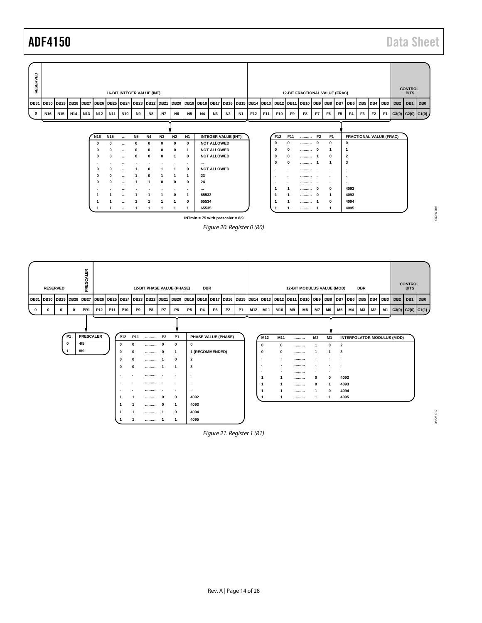



*Figure 20. Register 0 (R0)*

<span id="page-13-1"></span><span id="page-13-0"></span>

*Figure 21. Register 1 (R1)*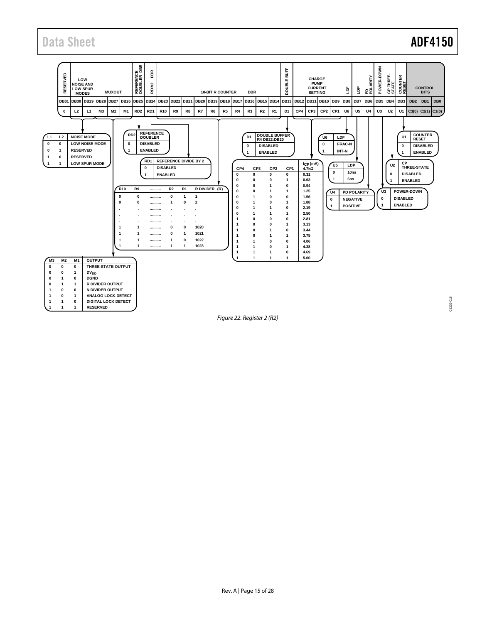## Data Sheet **ADF4150**

08226-018 08226-018



<span id="page-14-0"></span>*Figure 22. Register 2 (R2)*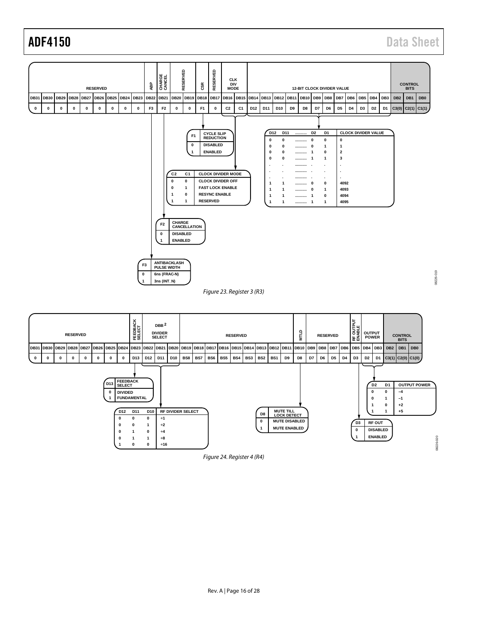ADF4150 Data Sheet



<span id="page-15-1"></span><span id="page-15-0"></span>

*Figure 24. Register 4 (R4)*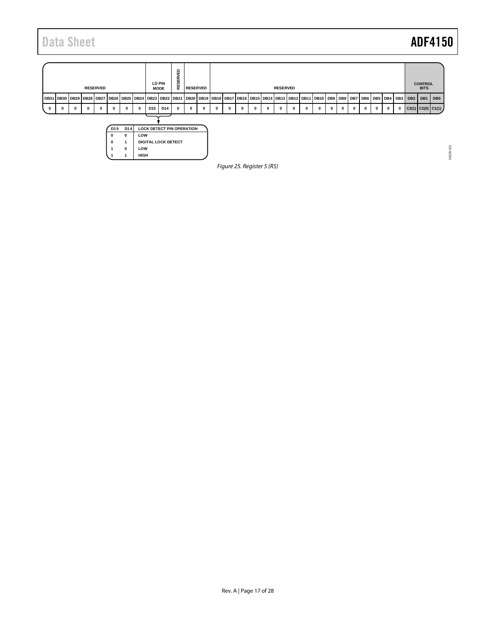08226-021 08226-021

<span id="page-16-0"></span>

|   |                                                                                                                                                                                                                                                                                                                                                                                                                                                                 |  |  | <b>RESERVED</b> |  |  |  |  | LD PIN<br><b>MODE</b> | ۵<br>面<br><b>SERVI</b><br>ш<br>$\simeq$ | <b>RESERVED</b> |  |  |  |                 | <b>RESERVED</b> |  |  |  |  |  |  | <b>CONTROL</b><br><b>BITS</b> |                   |
|---|-----------------------------------------------------------------------------------------------------------------------------------------------------------------------------------------------------------------------------------------------------------------------------------------------------------------------------------------------------------------------------------------------------------------------------------------------------------------|--|--|-----------------|--|--|--|--|-----------------------|-----------------------------------------|-----------------|--|--|--|-----------------|-----------------|--|--|--|--|--|--|-------------------------------|-------------------|
|   | DB31   DB30   DB29   DB28   DB27   DB26   DB25   DB24   DB23   DB22   DB21   DB20   DB3   DB19   DB1   DB16   DB1   DB1   DB12   DB1   DB1   DB3   DB2   DB7   DB6   DB5   DB3   DB3   DB3   DB5   DB5   DB3   DB3   DB3   D<br>D <sub>15</sub><br>D14<br>0<br>0<br>$\mathbf 0$<br>0<br>$\mathbf 0$<br>$\mathbf{0}$<br>0<br>$\mathbf{0}$<br>0<br>$\mathbf 0$<br>0<br>0<br>$\mathbf{0}$<br>$\Omega$<br>0<br>$\mathbf{0}$<br>0<br>0<br>0<br>0<br>0<br>0<br>0<br>0 |  |  |                 |  |  |  |  |                       |                                         |                 |  |  |  | DB <sub>2</sub> | DB1 DB0         |  |  |  |  |  |  |                               |                   |
| 0 |                                                                                                                                                                                                                                                                                                                                                                                                                                                                 |  |  |                 |  |  |  |  |                       |                                         |                 |  |  |  |                 |                 |  |  |  |  |  |  |                               | C3(1) C2(0) C1(1) |
|   | D <sub>14</sub><br><b>LOCK DETECT PIN OPERATION</b><br>D <sub>15</sub><br>LOW<br>$\Omega$<br>0<br><b>DIGITAL LOCK DETECT</b><br>$\Omega$<br>LOW<br>$\Omega$<br>HIGH<br>Figure 25. Register 5 (R5)                                                                                                                                                                                                                                                               |  |  |                 |  |  |  |  |                       |                                         |                 |  |  |  |                 |                 |  |  |  |  |  |  |                               |                   |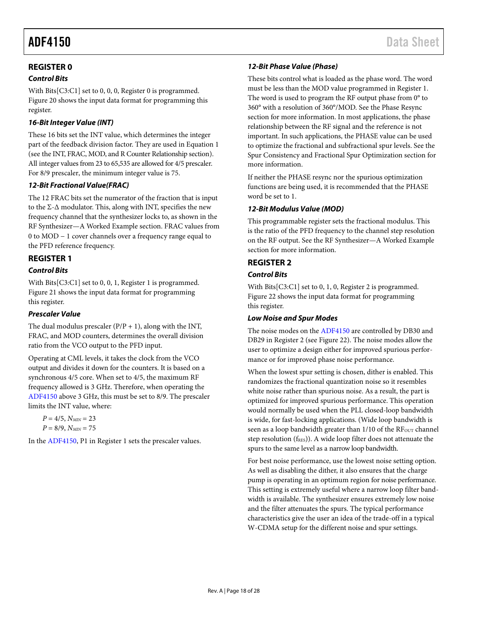### <span id="page-17-0"></span>**REGISTER 0**

#### *Control Bits*

With Bits[C3:C1] set to 0, 0, 0, Register 0 is programmed. [Figure 20](#page-13-0) shows the input data format for programming this register.

#### *16-Bit Integer Value (INT)*

These 16 bits set the INT value, which determines the integer part of the feedback division factor. They are used in Equation 1 (see th[e INT, FRAC, MOD, and R Counter Relationship](#page-10-3) section). All integer values from 23 to 65,535 are allowed for 4/5 prescaler. For 8/9 prescaler, the minimum integer value is 75.

#### *12-Bit Fractional Value(FRAC)*

The 12 FRAC bits set the numerator of the fraction that is input to the Σ-Δ modulator. This, along with INT, specifies the new frequency channel that the synthesizer locks to, as shown in the [RF Synthesizer—A Worked Example](#page-20-0) section. FRAC values from 0 to MOD − 1 cover channels over a frequency range equal to the PFD reference frequency.

#### <span id="page-17-1"></span>**REGISTER 1**

#### *Control Bits*

With Bits[C3:C1] set to 0, 0, 1, Register 1 is programmed. [Figure 21](#page-13-1) shows the input data format for programming this register.

#### *Prescaler Value*

The dual modulus prescaler  $(P/P + 1)$ , along with the INT, FRAC, and MOD counters, determines the overall division ratio from the VCO output to the PFD input.

Operating at CML levels, it takes the clock from the VCO output and divides it down for the counters. It is based on a synchronous 4/5 core. When set to 4/5, the maximum RF frequency allowed is 3 GHz. Therefore, when operating the [ADF4150](http://www.analog.com/ADF4150?doc=ADF4150.pdf) above 3 GHz, this must be set to 8/9. The prescaler limits the INT value, where:

 $P = 4/5$ ,  $N_{MIN} = 23$  $P = 8/9$ ,  $N_{MIN} = 75$ 

In th[e ADF4150,](http://www.analog.com/ADF4150?doc=ADF4150.pdf) P1 in Register 1 sets the prescaler values.

#### *12-Bit Phase Value (Phase)*

These bits control what is loaded as the phase word. The word must be less than the MOD value programmed in Register 1. The word is used to program the RF output phase from 0° to 360° with a resolution of 360°/MOD. See the Phase Resync section for more information. In most applications, the phase relationship between the RF signal and the reference is not important. In such applications, the PHASE value can be used to optimize the fractional and subfractional spur levels. See the [Spur Consistency and Fractional Spur Optimization](#page-23-0) section for more information.

If neither the PHASE resync nor the spurious optimization functions are being used, it is recommended that the PHASE word be set to 1.

#### *12-Bit Modulus Value (MOD)*

This programmable register sets the fractional modulus. This is the ratio of the PFD frequency to the channel step resolution on the RF output. See the [RF Synthesizer—A Worked Example](#page-20-0) section for more information.

#### <span id="page-17-2"></span>**REGISTER 2**

#### *Control Bits*

With Bits[C3:C1] set to 0, 1, 0, Register 2 is programmed. [Figure 22](#page-14-0) shows the input data format for programming this register.

#### <span id="page-17-3"></span>*Low Noise and Spur Modes*

The noise modes on th[e ADF4150](http://www.analog.com/ADF4150?doc=ADF4150.pdf) are controlled by DB30 and DB29 in Register 2 (se[e Figure 22\)](#page-14-0). The noise modes allow the user to optimize a design either for improved spurious performance or for improved phase noise performance.

When the lowest spur setting is chosen, dither is enabled. This randomizes the fractional quantization noise so it resembles white noise rather than spurious noise. As a result, the part is optimized for improved spurious performance. This operation would normally be used when the PLL closed-loop bandwidth is wide, for fast-locking applications. (Wide loop bandwidth is seen as a loop bandwidth greater than 1/10 of the RF<sub>OUT</sub> channel step resolution (fRES)). A wide loop filter does not attenuate the spurs to the same level as a narrow loop bandwidth.

For best noise performance, use the lowest noise setting option. As well as disabling the dither, it also ensures that the charge pump is operating in an optimum region for noise performance. This setting is extremely useful where a narrow loop filter bandwidth is available. The synthesizer ensures extremely low noise and the filter attenuates the spurs. The typical performance characteristics give the user an idea of the trade-off in a typical W-CDMA setup for the different noise and spur settings.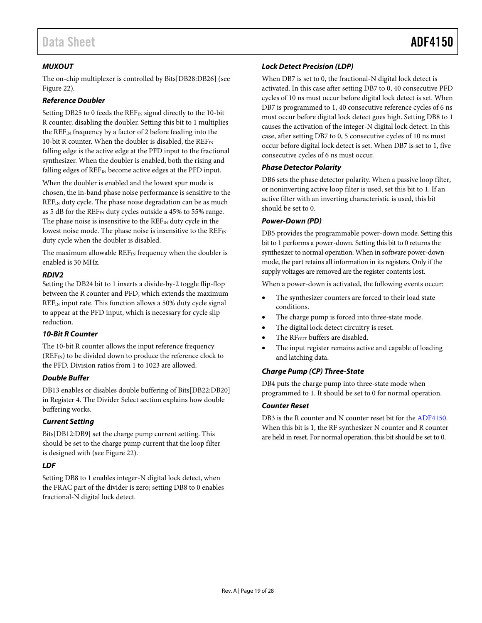#### *MUXOUT*

The on-chip multiplexer is controlled by Bits[DB28:DB26] (see [Figure 22\)](#page-14-0).

#### *Reference Doubler*

Setting DB25 to 0 feeds the  $REF_{IN}$  signal directly to the 10-bit R counter, disabling the doubler. Setting this bit to 1 multiplies the REF<sub>IN</sub> frequency by a factor of 2 before feeding into the 10-bit R counter. When the doubler is disabled, the  $\text{REF}_{\text{IN}}$ falling edge is the active edge at the PFD input to the fractional synthesizer. When the doubler is enabled, both the rising and falling edges of  $REF_{IN}$  become active edges at the PFD input.

When the doubler is enabled and the lowest spur mode is chosen, the in-band phase noise performance is sensitive to the REF<sub>IN</sub> duty cycle. The phase noise degradation can be as much as 5 dB for the REF<sub>IN</sub> duty cycles outside a 45% to 55% range. The phase noise is insensitive to the  $REF_{IN}$  duty cycle in the lowest noise mode. The phase noise is insensitive to the REF<sub>IN</sub> duty cycle when the doubler is disabled.

The maximum allowable  $REF_{IN}$  frequency when the doubler is enabled is 30 MHz.

#### *RDIV2*

Setting the DB24 bit to 1 inserts a divide-by-2 toggle flip-flop between the R counter and PFD, which extends the maximum REF<sub>IN</sub> input rate. This function allows a 50% duty cycle signal to appear at the PFD input, which is necessary for cycle slip reduction.

#### *10-Bit R Counter*

The 10-bit R counter allows the input reference frequency  $(REF_{IN})$  to be divided down to produce the reference clock to the PFD. Division ratios from 1 to 1023 are allowed.

#### *Double Buffer*

DB13 enables or disables double buffering of Bits[DB22:DB20] in Register 4. The [Divider Select](#page-19-4) section explains how double buffering works.

#### *Current Setting*

Bits[DB12:DB9] set the charge pump current setting. This should be set to the charge pump current that the loop filter is designed with (se[e Figure 22\)](#page-14-0).

#### *LDF*

Setting DB8 to 1 enables integer-N digital lock detect, when the FRAC part of the divider is zero; setting DB8 to 0 enables fractional-N digital lock detect.

#### *Lock Detect Precision (LDP)*

When DB7 is set to 0, the fractional-N digital lock detect is activated. In this case after setting DB7 to 0, 40 consecutive PFD cycles of 10 ns must occur before digital lock detect is set. When DB7 is programmed to 1, 40 consecutive reference cycles of 6 ns must occur before digital lock detect goes high. Setting DB8 to 1 causes the activation of the integer-N digital lock detect. In this case, after setting DB7 to 0, 5 consecutive cycles of 10 ns must occur before digital lock detect is set. When DB7 is set to 1, five consecutive cycles of 6 ns must occur.

#### *Phase Detector Polarity*

DB6 sets the phase detector polarity. When a passive loop filter, or noninverting active loop filter is used, set this bit to 1. If an active filter with an inverting characteristic is used, this bit should be set to 0.

#### *Power-Down (PD)*

DB5 provides the programmable power-down mode. Setting this bit to 1 performs a power-down. Setting this bit to 0 returns the synthesizer to normal operation. When in software power-down mode, the part retains all information in its registers. Only if the supply voltages are removed are the register contents lost.

When a power-down is activated, the following events occur:

- The synthesizer counters are forced to their load state conditions.
- The charge pump is forced into three-state mode.
- The digital lock detect circuitry is reset.
- The RF<sub>OUT</sub> buffers are disabled.
- The input register remains active and capable of loading and latching data.

#### *Charge Pump (CP) Three-State*

DB4 puts the charge pump into three-state mode when programmed to 1. It should be set to 0 for normal operation.

#### *Counter Reset*

DB3 is the R counter and N counter reset bit for the [ADF4150.](http://www.analog.com/ADF4150?doc=ADF4150.pdf) When this bit is 1, the RF synthesizer N counter and R counter are held in reset. For normal operation, this bit should be set to 0.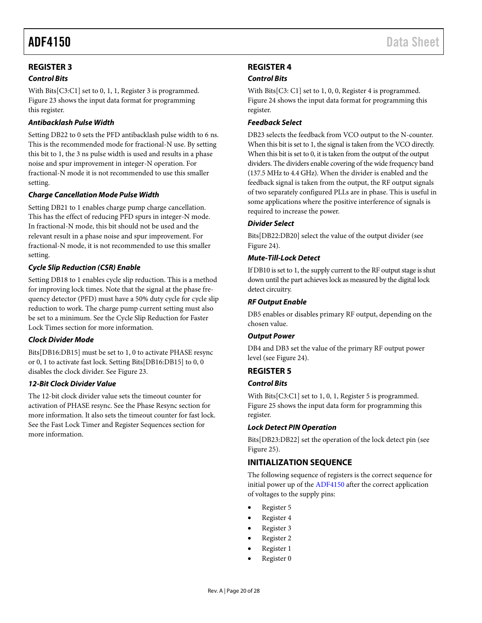### <span id="page-19-0"></span>**REGISTER 3**

#### *Control Bits*

With Bits[C3:C1] set to 0, 1, 1, Register 3 is programmed. [Figure 23](#page-15-0) shows the input data format for programming this register.

#### *Antibacklash Pulse Width*

Setting DB22 to 0 sets the PFD antibacklash pulse width to 6 ns. This is the recommended mode for fractional-N use. By setting this bit to 1, the 3 ns pulse width is used and results in a phase noise and spur improvement in integer-N operation. For fractional-N mode it is not recommended to use this smaller setting.

#### *Charge Cancellation Mode Pulse Width*

Setting DB21 to 1 enables charge pump charge cancellation. This has the effect of reducing PFD spurs in integer-N mode. In fractional-N mode, this bit should not be used and the relevant result in a phase noise and spur improvement. For fractional-N mode, it is not recommended to use this smaller setting.

#### *Cycle Slip Reduction (CSR) Enable*

Setting DB18 to 1 enables cycle slip reduction. This is a method for improving lock times. Note that the signal at the phase frequency detector (PFD) must have a 50% duty cycle for cycle slip reduction to work. The charge pump current setting must also be set to a minimum. See the [Cycle Slip Reduction for Faster](#page-21-0)  [Lock Times](#page-21-0) section for more information.

#### *Clock Divider Mode*

Bits[DB16:DB15] must be set to 1, 0 to activate PHASE resync or 0, 1 to activate fast lock. Setting Bits[DB16:DB15] to 0, 0 disables the clock divider. See [Figure 23.](#page-15-0)

#### *12-Bit Clock Divider Value*

The 12-bit clock divider value sets the timeout counter for activation of PHASE resync. See the [Phase Re](#page-23-1)sync section for more information. It also sets the timeout counter for fast lock. See the [Fast Lock Timer and Register Sequences](#page-21-2) section for more information.

### <span id="page-19-1"></span>**REGISTER 4**

#### *Control Bits*

With Bits[C3: C1] set to 1, 0, 0, Register 4 is programmed. [Figure 24](#page-15-1) shows the input data format for programming this register.

#### *Feedback Select*

DB23 selects the feedback from VCO output to the N-counter. When this bit is set to 1, the signal is taken from the VCO directly. When this bit is set to 0, it is taken from the output of the output dividers. The dividers enable covering of the wide frequency band (137.5 MHz to 4.4 GHz). When the divider is enabled and the feedback signal is taken from the output, the RF output signals of two separately configured PLLs are in phase. This is useful in some applications where the positive interference of signals is required to increase the power.

#### <span id="page-19-4"></span>*Divider Select*

Bits[DB22:DB20] select the value of the output divider (see [Figure 24\)](#page-15-1).

#### *Mute-Till-Lock Detect*

If DB10 is set to 1, the supply current to the RF output stage is shut down until the part achieves lock as measured by the digital lock detect circuitry.

#### *RF Output Enable*

DB5 enables or disables primary RF output, depending on the chosen value.

#### *Output Power*

DB4 and DB3 set the value of the primary RF output power level (se[e Figure 24\)](#page-15-1).

#### <span id="page-19-2"></span>**REGISTER 5**

#### *Control Bits*

With Bits[C3:C1] set to 1, 0, 1, Register 5 is programmed. [Figure 25](#page-16-0) shows the input data form for programming this register.

#### *Lock Detect PIN Operation*

Bits[DB23:DB22] set the operation of the lock detect pin (see [Figure 25\)](#page-16-0).

#### <span id="page-19-3"></span>**INITIALIZATION SEQUENCE**

The following sequence of registers is the correct sequence for initial power up of the [ADF4150](http://www.analog.com/ADF4150?doc=ADF4150.pdf) after the correct application of voltages to the supply pins:

- Register 5
- Register 4
- Register 3
- Register 2
- Register 1
- Register 0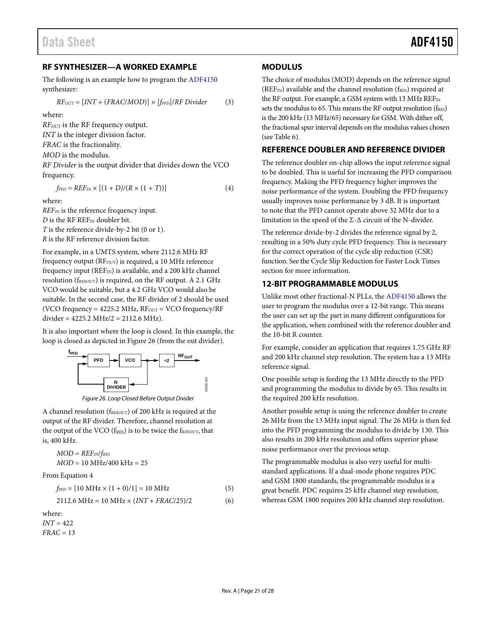#### <span id="page-20-0"></span>**RF SYNTHESIZER—A WORKED EXAMPLE**

The following is an example how to program th[e ADF4150](http://www.analog.com/ADF4150?doc=ADF4150.pdf) synthesizer:

$$
RF_{OUT} = [INT + (FRAC/MOD)] \times [f_{PFD}]/RF\,Divider
$$
 (3)

where:

*RFOUT* is the RF frequency output.

*INT* is the integer division factor.

*FRAC* is the fractionality.

*MOD* is the modulus.

*RF Divider* is the output divider that divides down the VCO frequency.

 $f_{\text{PFD}} = REF_{\text{IN}} \times [(1 + D)/(R \times (1 + T))]$  (4)

where:

*REFIN* is the reference frequency input. *D* is the RF REF<sub>IN</sub> doubler bit. *T* is the reference divide-by-2 bit (0 or 1). *R* is the RF reference division factor.

For example, in a UMTS system, where 2112.6 MHz RF frequency output ( $RF_{OUT}$ ) is required, a 10 MHz reference frequency input ( $REF_{IN}$ ) is available, and a 200 kHz channel resolution ( $f_{RESOUT}$ ) is required, on the RF output. A 2.1 GHz VCO would be suitable, but a 4.2 GHz VCO would also be suitable. In the second case, the RF divider of 2 should be used (VCO frequency =  $4225.2$  MHz,  $RF_{OUT}$  = VCO frequency/ $RF$ divider = 4225.2 MHz/2 = 2112.6 MHz).

It is also important where the loop is closed. In this example, the loop is closed as depicted i[n Figure 26](#page-20-4) (from the out divider).





<span id="page-20-4"></span>A channel resolution (fRESOUT) of 200 kHz is required at the output of the RF divider. Therefore, channel resolution at the output of the VCO ( $f_{RES}$ ) is to be twice the  $f_{RESOUT}$ , that is, 400 kHz.

$$
MOD = REF_{IN}/f_{RES}
$$

$$
MOD = 10 MHz/400 kHz = 25
$$

From Equation 4

$$
f_{PFD} = [10 \text{ MHz} \times (1+0)/1] = 10 \text{ MHz}
$$
 (5)

$$
2112.6 \text{ MHz} = 10 \text{ MHz} \times (INT + FRAC/25)/2 \tag{6}
$$

where:

*INT* = 422 *FRAC* = 13

#### <span id="page-20-1"></span>**MODULUS**

The choice of modulus (MOD) depends on the reference signal ( $REF_{IN}$ ) available and the channel resolution ( $f_{RES}$ ) required at the RF output. For example, a GSM system with 13 MHz  $\text{REF}_{\text{IN}}$ sets the modulus to 65. This means the RF output resolution ( $f_{RES}$ ) is the 200 kHz (13 MHz/65) necessary for GSM. With dither off, the fractional spur interval depends on the modulus values chosen (see [Table 6\)](#page-22-3).

#### <span id="page-20-2"></span>**REFERENCE DOUBLER AND REFERENCE DIVIDER**

The reference doubler on-chip allows the input reference signal to be doubled. This is useful for increasing the PFD comparison frequency. Making the PFD frequency higher improves the noise performance of the system. Doubling the PFD frequency usually improves noise performance by 3 dB. It is important to note that the PFD cannot operate above 32 MHz due to a limitation in the speed of the  $\Sigma$ - $\Delta$  circuit of the N-divider.

The reference divide-by-2 divides the reference signal by 2, resulting in a 50% duty cycle PFD frequency. This is necessary for the correct operation of the cycle slip reduction (CSR) function. See the [Cycle Slip Reduction for Faster Lock Times](#page-21-0) section for more information.

#### <span id="page-20-3"></span>**12-BIT PROGRAMMABLE MODULUS**

Unlike most other fractional-N PLLs, th[e ADF4150](http://www.analog.com/ADF4150?doc=ADF4150.pdf) allows the user to program the modulus over a 12-bit range. This means the user can set up the part in many different configurations for the application, when combined with the reference doubler and the 10-bit R counter.

For example, consider an application that requires 1.75 GHz RF and 200 kHz channel step resolution. The system has a 13 MHz reference signal.

One possible setup is feeding the 13 MHz directly to the PFD and programming the modulus to divide by 65. This results in the required 200 kHz resolution.

Another possible setup is using the reference doubler to create 26 MHz from the 13 MHz input signal. The 26 MHz is then fed into the PFD programming the modulus to divide by 130. This also results in 200 kHz resolution and offers superior phase noise performance over the previous setup.

The programmable modulus is also very useful for multistandard applications. If a dual-mode phone requires PDC and GSM 1800 standards, the programmable modulus is a great benefit. PDC requires 25 kHz channel step resolution, whereas GSM 1800 requires 200 kHz channel step resolution.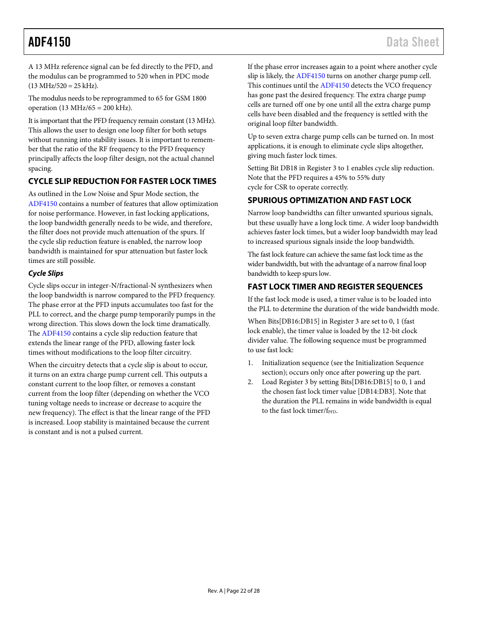A 13 MHz reference signal can be fed directly to the PFD, and the modulus can be programmed to 520 when in PDC mode  $(13 \text{ MHz}/520 = 25 \text{ kHz}).$ 

The modulus needs to be reprogrammed to 65 for GSM 1800 operation (13 MHz/65 = 200 kHz).

It is important that the PFD frequency remain constant (13 MHz). This allows the user to design one loop filter for both setups without running into stability issues. It is important to remember that the ratio of the RF frequency to the PFD frequency principally affects the loop filter design, not the actual channel spacing.

### <span id="page-21-0"></span>**CYCLE SLIP REDUCTION FOR FASTER LOCK TIMES**

As outlined in the [Low Noise and Spur Mode](#page-17-3) section, the [ADF4150](http://www.analog.com/ADF4150?doc=ADF4150.pdf) contains a number of features that allow optimization for noise performance. However, in fast locking applications, the loop bandwidth generally needs to be wide, and therefore, the filter does not provide much attenuation of the spurs. If the cycle slip reduction feature is enabled, the narrow loop bandwidth is maintained for spur attenuation but faster lock times are still possible.

#### *Cycle Slips*

Cycle slips occur in integer-N/fractional-N synthesizers when the loop bandwidth is narrow compared to the PFD frequency. The phase error at the PFD inputs accumulates too fast for the PLL to correct, and the charge pump temporarily pumps in the wrong direction. This slows down the lock time dramatically. The [ADF4150](http://www.analog.com/ADF4150?doc=ADF4150.pdf) contains a cycle slip reduction feature that extends the linear range of the PFD, allowing faster lock times without modifications to the loop filter circuitry.

When the circuitry detects that a cycle slip is about to occur, it turns on an extra charge pump current cell. This outputs a constant current to the loop filter, or removes a constant current from the loop filter (depending on whether the VCO tuning voltage needs to increase or decrease to acquire the new frequency). The effect is that the linear range of the PFD is increased. Loop stability is maintained because the current is constant and is not a pulsed current.

If the phase error increases again to a point where another cycle slip is likely, th[e ADF4150](http://www.analog.com/ADF4150?doc=ADF4150.pdf) turns on another charge pump cell. This continues until the [ADF4150](http://www.analog.com/ADF4150?doc=ADF4150.pdf) detects the VCO frequency has gone past the desired frequency. The extra charge pump cells are turned off one by one until all the extra charge pump cells have been disabled and the frequency is settled with the original loop filter bandwidth.

Up to seven extra charge pump cells can be turned on. In most applications, it is enough to eliminate cycle slips altogether, giving much faster lock times.

Setting Bit DB18 in Register 3 to 1 enables cycle slip reduction. Note that the PFD requires a 45% to 55% duty cycle for CSR to operate correctly.

### <span id="page-21-1"></span>**SPURIOUS OPTIMIZATION AND FAST LOCK**

Narrow loop bandwidths can filter unwanted spurious signals, but these usually have a long lock time. A wider loop bandwidth achieves faster lock times, but a wider loop bandwidth may lead to increased spurious signals inside the loop bandwidth.

The fast lock feature can achieve the same fast lock time as the wider bandwidth, but with the advantage of a narrow final loop bandwidth to keep spurs low.

### <span id="page-21-2"></span>**FAST LOCK TIMER AND REGISTER SEQUENCES**

If the fast lock mode is used, a timer value is to be loaded into the PLL to determine the duration of the wide bandwidth mode.

When Bits[DB16:DB15] in Register 3 are set to 0, 1 (fast lock enable), the timer value is loaded by the 12-bit clock divider value. The following sequence must be programmed to use fast lock:

- 1. Initialization sequence (see the Initialization Sequence section); occurs only once after powering up the part.
- 2. Load Register 3 by setting Bits[DB16:DB15] to 0, 1 and the chosen fast lock timer value [DB14:DB3]. Note that the duration the PLL remains in wide bandwidth is equal to the fast lock timer/fPFD.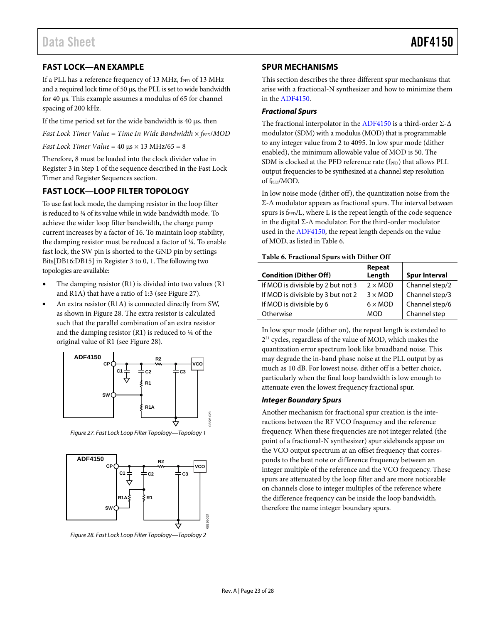### <span id="page-22-0"></span>**FAST LOCK—AN EXAMPLE**

If a PLL has a reference frequency of 13 MHz, fPFD of 13 MHz and a required lock time of 50 µs, the PLL is set to wide bandwidth for 40 µs. This example assumes a modulus of 65 for channel spacing of 200 kHz.

If the time period set for the wide bandwidth is  $40 \mu s$ , then

*Fast Lock Timer Value* = *Time In Wide Bandwidth*  $\times$  *f<sub>PFD</sub>*/*MOD* 

*Fast Lock Timer Value* = 40 µs × 13 MHz/65 = 8

Therefore, 8 must be loaded into the clock divider value in Register 3 in Step 1 of the sequence described in the [Fast Lock](#page-21-2)  [Timer and Register Sequences](#page-21-2) section.

#### <span id="page-22-1"></span>**FAST LOCK—LOOP FILTER TOPOLOGY**

To use fast lock mode, the damping resistor in the loop filter is reduced to ¼ of its value while in wide bandwidth mode. To achieve the wider loop filter bandwidth, the charge pump current increases by a factor of 16. To maintain loop stability, the damping resistor must be reduced a factor of ¼. To enable fast lock, the SW pin is shorted to the GND pin by settings Bits[DB16:DB15] in Register 3 to 0, 1. The following two topologies are available:

- The damping resistor (R1) is divided into two values (R1 and R1A) that have a ratio of 1:3 (see [Figure 27\)](#page-22-4).
- An extra resistor (R1A) is connected directly from SW, as shown i[n Figure 28.](#page-22-5) The extra resistor is calculated such that the parallel combination of an extra resistor and the damping resistor (R1) is reduced to ¼ of the original value of R1 (see [Figure 28\)](#page-22-5).



<span id="page-22-4"></span>*Figure 27. Fast Lock Loop Filter Topology—Topology 1*



<span id="page-22-5"></span>*Figure 28. Fast Lock Loop Filter Topology—Topology 2*

#### <span id="page-22-2"></span>**SPUR MECHANISMS**

This section describes the three different spur mechanisms that arise with a fractional-N synthesizer and how to minimize them in th[e ADF4150.](http://www.analog.com/ADF4150?doc=ADF4150.pdf)

#### *Fractional Spurs*

The fractional interpolator in the [ADF4150](http://www.analog.com/ADF4150?doc=ADF4150.pdf) is a third-order Σ-Δ modulator (SDM) with a modulus (MOD) that is programmable to any integer value from 2 to 4095. In low spur mode (dither enabled), the minimum allowable value of MOD is 50. The SDM is clocked at the PFD reference rate  $(f_{\text{PPD}})$  that allows PLL output frequencies to be synthesized at a channel step resolution of f<sub>PFD</sub>/MOD.

In low noise mode (dither off), the quantization noise from the Σ-Δ modulator appears as fractional spurs. The interval between spurs is f<sub>PFD</sub>/L, where L is the repeat length of the code sequence in the digital  $\Sigma$ - $\Delta$  modulator. For the third-order modulator used in th[e ADF4150,](http://www.analog.com/ADF4150?doc=ADF4150.pdf) the repeat length depends on the value of MOD, as listed in Table 6.

#### <span id="page-22-3"></span>**Table 6. Fractional Spurs with Dither Off**

| <b>Condition (Dither Off)</b>      | Repeat<br>Length      | <b>Spur Interval</b> |
|------------------------------------|-----------------------|----------------------|
| If MOD is divisible by 2 but not 3 | $2 \times MOD$        | Channel step/2       |
| If MOD is divisible by 3 but not 2 | $3 \times MOD$        | Channel step/3       |
| If MOD is divisible by 6           | $6 \times \text{MOD}$ | Channel step/6       |
| Otherwise                          | <b>MOD</b>            | Channel step         |

In low spur mode (dither on), the repeat length is extended to 221 cycles, regardless of the value of MOD, which makes the quantization error spectrum look like broadband noise. This may degrade the in-band phase noise at the PLL output by as much as 10 dB. For lowest noise, dither off is a better choice, particularly when the final loop bandwidth is low enough to attenuate even the lowest frequency fractional spur.

#### *Integer Boundary Spurs*

Another mechanism for fractional spur creation is the interactions between the RF VCO frequency and the reference frequency. When these frequencies are not integer related (the point of a fractional-N synthesizer) spur sidebands appear on the VCO output spectrum at an offset frequency that corresponds to the beat note or difference frequency between an integer multiple of the reference and the VCO frequency. These spurs are attenuated by the loop filter and are more noticeable on channels close to integer multiples of the reference where the difference frequency can be inside the loop bandwidth, therefore the name integer boundary spurs.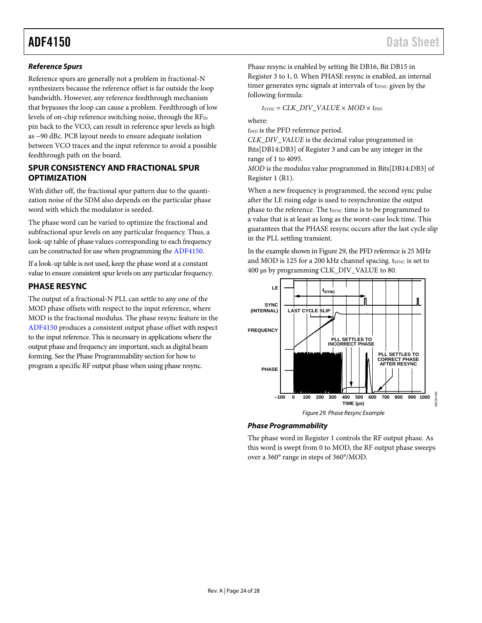#### *Reference Spurs*

Reference spurs are generally not a problem in fractional-N synthesizers because the reference offset is far outside the loop bandwidth. However, any reference feedthrough mechanism that bypasses the loop can cause a problem. Feedthrough of low levels of on-chip reference switching noise, through the  $RF_{IN}$ pin back to the VCO, can result in reference spur levels as high as −90 dBc. PCB layout needs to ensure adequate isolation between VCO traces and the input reference to avoid a possible feedthrough path on the board.

#### <span id="page-23-0"></span>**SPUR CONSISTENCY AND FRACTIONAL SPUR OPTIMIZATION**

With dither off, the fractional spur pattern due to the quantization noise of the SDM also depends on the particular phase word with which the modulator is seeded.

The phase word can be varied to optimize the fractional and subfractional spur levels on any particular frequency. Thus, a look-up table of phase values corresponding to each frequency can be constructed for use when programming the [ADF4150.](http://www.analog.com/ADF4150?doc=ADF4150.pdf)

If a look-up table is not used, keep the phase word at a constant value to ensure consistent spur levels on any particular frequency.

#### <span id="page-23-1"></span>**PHASE RESYNC**

The output of a fractional-N PLL can settle to any one of the MOD phase offsets with respect to the input reference, where MOD is the fractional modulus. The phase resync feature in the [ADF4150](http://www.analog.com/ADF4150?doc=ADF4150.pdf) produces a consistent output phase offset with respect to the input reference. This is necessary in applications where the output phase and frequency are important, such as digital beam forming. See the [Phase Programmability](#page-23-2) section for how to program a specific RF output phase when using phase resync.

Phase resync is enabled by setting Bit DB16, Bit DB15 in Register 3 to 1, 0. When PHASE resync is enabled, an internal timer generates sync signals at intervals of t<sub>SYNC</sub> given by the following formula:

 $t_{\text{SYNC}} = \text{CLK\_DIV\_VALUE} \times \text{MOD} \times t_{\text{PFD}}$ 

where:

 $t_{\text{PFD}}$  is the PFD reference period.

*CLK\_DIV\_VALUE* is the decimal value programmed in Bits[DB14:DB3] of Register 3 and can be any integer in the range of 1 to 4095.

*MOD* is the modulus value programmed in Bits[DB14:DB3] of Register 1 (R1).

When a new frequency is programmed, the second sync pulse after the LE rising edge is used to resynchronize the output phase to the reference. The t<sub>SYNC</sub> time is to be programmed to a value that is at least as long as the worst-case lock time. This guarantees that the PHASE resync occurs after the last cycle slip in the PLL settling transient.

In the example shown i[n Figure 29,](#page-23-3) the PFD reference is 25 MHz and MOD is 125 for a 200 kHz channel spacing. t<sub>SYNC</sub> is set to 400 µs by programming CLK\_DIV\_VALUE to 80.



#### <span id="page-23-3"></span><span id="page-23-2"></span>*Phase Programmability*

The phase word in Register 1 controls the RF output phase. As this word is swept from 0 to MOD, the RF output phase sweeps over a 360° range in steps of 360°/MOD.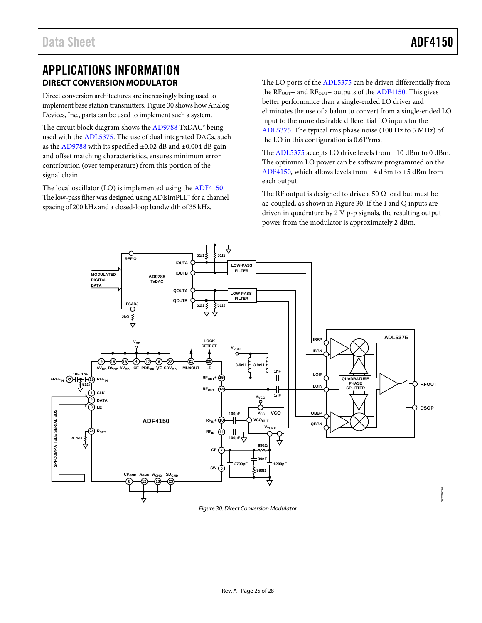## <span id="page-24-0"></span>APPLICATIONS INFORMATION **DIRECT CONVERSION MODULATOR**

<span id="page-24-1"></span>Direct conversion architectures are increasingly being used to implement base station transmitters[. Figure 30](#page-24-2) shows how Analog Devices, Inc., parts can be used to implement such a system.

The circuit block diagram shows the [AD9788](http://www.analog.com/AD9788?doc=ADF4150.pdf) TxDAC® being used with the [ADL5375.](http://www.analog.com/ADL5375?doc=ADF4150.pdf) The use of dual integrated DACs, such as the [AD9788](http://www.analog.com/AD9788?doc=ADF4150.pdf) with its specified ±0.02 dB and ±0.004 dB gain and offset matching characteristics, ensures minimum error contribution (over temperature) from this portion of the signal chain.

The local oscillator (LO) is implemented using th[e ADF4150.](http://www.analog.com/ADF4150?doc=ADF4150.pdf)  The low-pass filter was designed using ADIsimPLL™ for a channel spacing of 200 kHz and a closed-loop bandwidth of 35 kHz.

The LO ports of the [ADL5375](http://www.analog.com/ADL5375?doc=ADF4150.pdf) can be driven differentially from the RF<sub>OUT</sub>+ and RF<sub>OUT</sub>− outputs of th[e ADF4150.](http://www.analog.com/ADF4150?doc=ADF4150.pdf) This gives better performance than a single-ended LO driver and eliminates the use of a balun to convert from a single-ended LO input to the more desirable differential LO inputs for the [ADL5375.](http://www.analog.com/ADL5375?doc=ADF4150.pdf) The typical rms phase noise (100 Hz to 5 MHz) of the LO in this configuration is 0.61°rms.

The [ADL5375](http://www.analog.com/ADL5375?doc=ADF4150.pdf) accepts LO drive levels from −10 dBm to 0 dBm. The optimum LO power can be software programmed on the [ADF4150,](http://www.analog.com/ADF4150?doc=ADF4150.pdf) which allows levels from −4 dBm to +5 dBm from each output.

The RF output is designed to drive a 50  $\Omega$  load but must be ac-coupled, as shown i[n Figure 30.](#page-24-2) If the I and Q inputs are driven in quadrature by 2 V p-p signals, the resulting output power from the modulator is approximately 2 dBm.



<span id="page-24-2"></span>*Figure 30. Direct Conversion Modulator*

18226-026 08226-026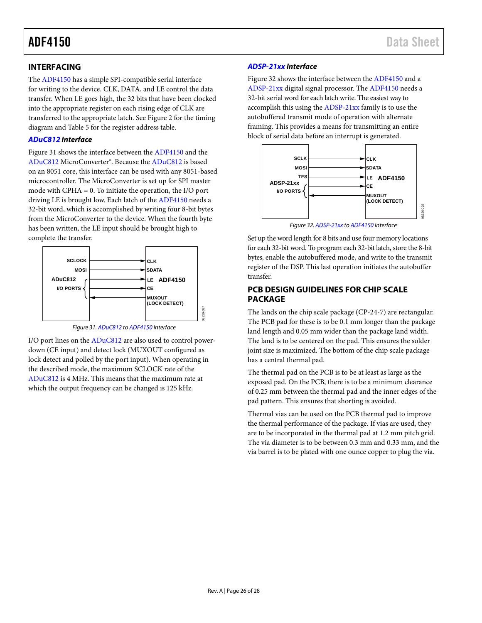#### <span id="page-25-0"></span>**INTERFACING**

The [ADF4150](http://www.analog.com/ADF4150?doc=ADF4150.pdf) has a simple SPI-compatible serial interface for writing to the device. CLK, DATA, and LE control the data transfer. When LE goes high, the 32 bits that have been clocked into the appropriate register on each rising edge of CLK are transferred to the appropriate latch. Se[e Figure 2](#page-4-1) for the timing diagram and [Table 5](#page-11-5) for the register address table.

#### *[ADuC812](http://www.analog.com/ADuC812?doc=ADF4150.pdf) Interface*

[Figure 31](#page-25-2) shows the interface between th[e ADF4150](http://www.analog.com/ADF4150?doc=ADF4150.pdf) and the [ADuC812](http://www.analog.com/ADuC812?doc=ADF4150.pdf) MicroConverter®. Because th[e ADuC812](http://www.analog.com/ADuC812?doc=ADF4150.pdf) is based on an 8051 core, this interface can be used with any 8051-based microcontroller. The MicroConverter is set up for SPI master mode with CPHA = 0. To initiate the operation, the I/O port driving LE is brought low. Each latch of th[e ADF4150](http://www.analog.com/ADF4150?doc=ADF4150.pdf) needs a 32-bit word, which is accomplished by writing four 8-bit bytes from the MicroConverter to the device. When the fourth byte has been written, the LE input should be brought high to complete the transfer.





08226-027

<span id="page-25-2"></span>I/O port lines on the [ADuC812](http://www.analog.com/ADuC812?doc=ADF4150.pdf) are also used to control powerdown (CE input) and detect lock (MUXOUT configured as lock detect and polled by the port input). When operating in the described mode, the maximum SCLOCK rate of the [ADuC812](http://www.analog.com/ADuC812?doc=ADF4150.pdf) is 4 MHz. This means that the maximum rate at which the output frequency can be changed is 125 kHz.

#### *[ADSP-21xx](http://www.analog.com/ADSP-21?doc=ADF4150.pdf) Interface*

[Figure 32](#page-25-3) shows the interface between the [ADF4150](http://www.analog.com/ADF4150?doc=ADF4150.pdf) and a [ADSP-21xx](http://www.analog.com/ADSP-21?doc=ADF4150.pdf) digital signal processor. Th[e ADF4150](http://www.analog.com/ADF4150?doc=ADF4150.pdf) needs a 32-bit serial word for each latch write. The easiest way to accomplish this using the [ADSP-21xx](http://www.analog.com/ADSP-21?doc=ADF4150.pdf) family is to use the autobuffered transmit mode of operation with alternate framing. This provides a means for transmitting an entire block of serial data before an interrupt is generated.



*Figure 32[. ADSP-21xx](http://www.analog.com/ADSP-21?doc=ADF4150.pdf) t[o ADF4150](http://www.analog.com/ADF4150?doc=ADF4150.pdf) Interface*

<span id="page-25-3"></span>Set up the word length for 8 bits and use four memory locations for each 32-bit word. To program each 32-bit latch, store the 8-bit bytes, enable the autobuffered mode, and write to the transmit register of the DSP. This last operation initiates the autobuffer transfer.

#### <span id="page-25-1"></span>**PCB DESIGN GUIDELINES FOR CHIP SCALE PACKAGE**

The lands on the chip scale package (CP-24-7) are rectangular. The PCB pad for these is to be 0.1 mm longer than the package land length and 0.05 mm wider than the package land width. The land is to be centered on the pad. This ensures the solder joint size is maximized. The bottom of the chip scale package has a central thermal pad.

The thermal pad on the PCB is to be at least as large as the exposed pad. On the PCB, there is to be a minimum clearance of 0.25 mm between the thermal pad and the inner edges of the pad pattern. This ensures that shorting is avoided.

Thermal vias can be used on the PCB thermal pad to improve the thermal performance of the package. If vias are used, they are to be incorporated in the thermal pad at 1.2 mm pitch grid. The via diameter is to be between 0.3 mm and 0.33 mm, and the via barrel is to be plated with one ounce copper to plug the via.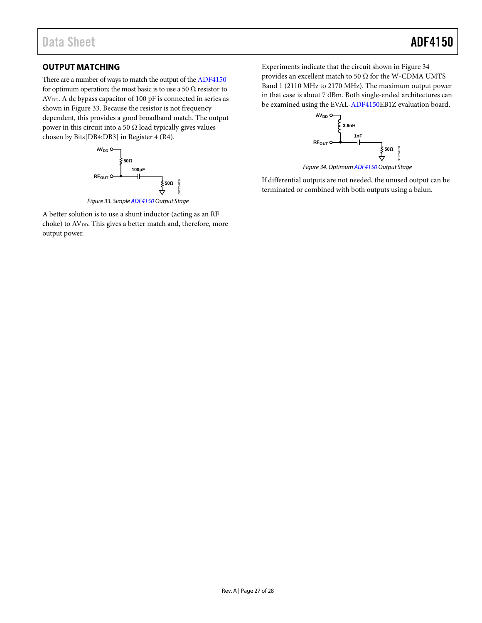### <span id="page-26-0"></span>**OUTPUT MATCHING**

There are a number of ways to match the output of th[e ADF4150](http://www.analog.com/ADF4150?doc=ADF4150.pdf) for optimum operation; the most basic is to use a 50  $\Omega$  resistor to AV<sub>DD</sub>. A dc bypass capacitor of 100 pF is connected in series as shown in [Figure 33.](#page-26-1) Because the resistor is not frequency dependent, this provides a good broadband match. The output power in this circuit into a 50  $\Omega$  load typically gives values chosen by Bits[DB4:DB3] in Register 4 (R4).



<span id="page-26-1"></span>A better solution is to use a shunt inductor (acting as an RF choke) to AV<sub>DD</sub>. This gives a better match and, therefore, more output power.

Experiments indicate that the circuit shown in [Figure 34](#page-26-2) provides an excellent match to 50  $\Omega$  for the W-CDMA UMTS Band 1 (2110 MHz to 2170 MHz). The maximum output power in that case is about 7 dBm. Both single-ended architectures can be examined using the EVAL[-ADF4150E](http://www.analog.com/ADF4150?doc=ADF4150.pdf)B1Z evaluation board.



*Figure 34. Optimu[m ADF4150](http://www.analog.com/ADF4150?doc=ADF4150.pdf) Output Stage*

<span id="page-26-2"></span>If differential outputs are not needed, the unused output can be terminated or combined with both outputs using a balun.